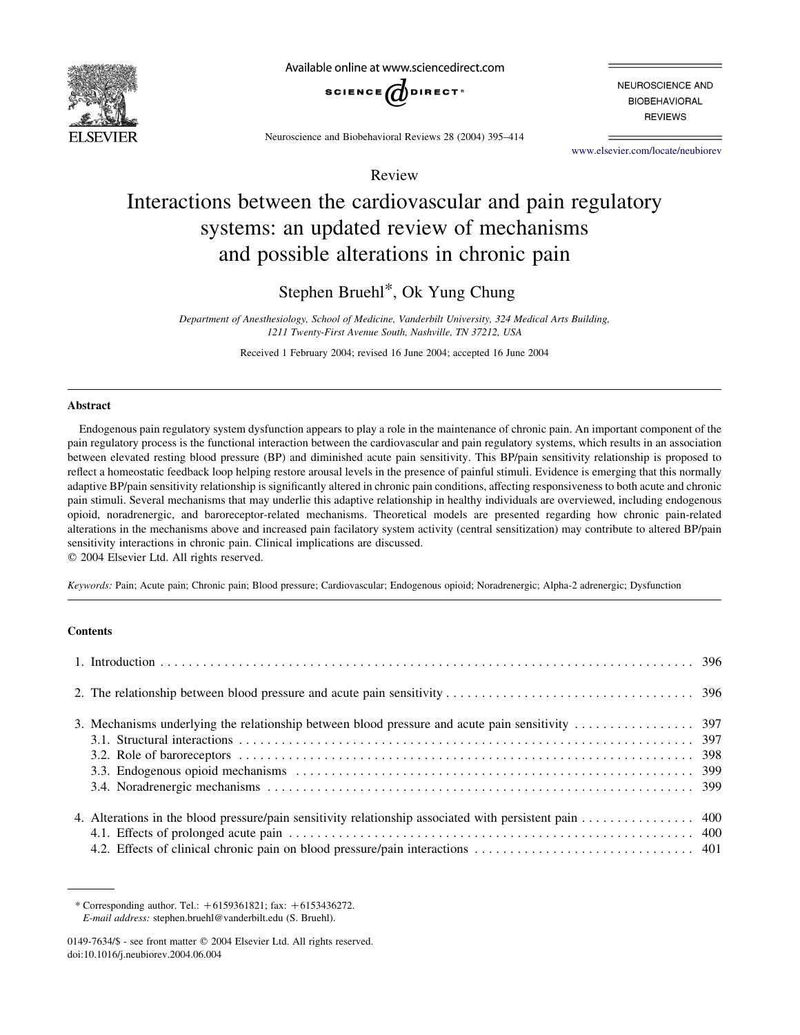

Available online at www.sciencedirect.com



NEUROSCIENCE AND **BIOBEHAVIORAL REVIEWS** 

Neuroscience and Biobehavioral Reviews 28 (2004) 395–414

www.elsevier.com/locate/neubiorev

# Review

# Interactions between the cardiovascular and pain regulatory systems: an updated review of mechanisms and possible alterations in chronic pain

Stephen Bruehl\*, Ok Yung Chung

Department of Anesthesiology, School of Medicine, Vanderbilt University, 324 Medical Arts Building, 1211 Twenty-First Avenue South, Nashville, TN 37212, USA

Received 1 February 2004; revised 16 June 2004; accepted 16 June 2004

#### Abstract

Endogenous pain regulatory system dysfunction appears to play a role in the maintenance of chronic pain. An important component of the pain regulatory process is the functional interaction between the cardiovascular and pain regulatory systems, which results in an association between elevated resting blood pressure (BP) and diminished acute pain sensitivity. This BP/pain sensitivity relationship is proposed to reflect a homeostatic feedback loop helping restore arousal levels in the presence of painful stimuli. Evidence is emerging that this normally adaptive BP/pain sensitivity relationship is significantly altered in chronic pain conditions, affecting responsiveness to both acute and chronic pain stimuli. Several mechanisms that may underlie this adaptive relationship in healthy individuals are overviewed, including endogenous opioid, noradrenergic, and baroreceptor-related mechanisms. Theoretical models are presented regarding how chronic pain-related alterations in the mechanisms above and increased pain facilatory system activity (central sensitization) may contribute to altered BP/pain sensitivity interactions in chronic pain. Clinical implications are discussed.

 $©$  2004 Elsevier Ltd. All rights reserved.

Keywords: Pain; Acute pain; Chronic pain; Blood pressure; Cardiovascular; Endogenous opioid; Noradrenergic; Alpha-2 adrenergic; Dysfunction

# **Contents**

| 4. Alterations in the blood pressure/pain sensitivity relationship associated with persistent pain 400 |  |
|--------------------------------------------------------------------------------------------------------|--|

<sup>\*</sup> Corresponding author. Tel.:  $+6159361821$ ; fax:  $+6153436272$ . E-mail address: stephen.bruehl@vanderbilt.edu (S. Bruehl).

<sup>0149-7634/\$ -</sup> see front matter © 2004 Elsevier Ltd. All rights reserved. doi:10.1016/j.neubiorev.2004.06.004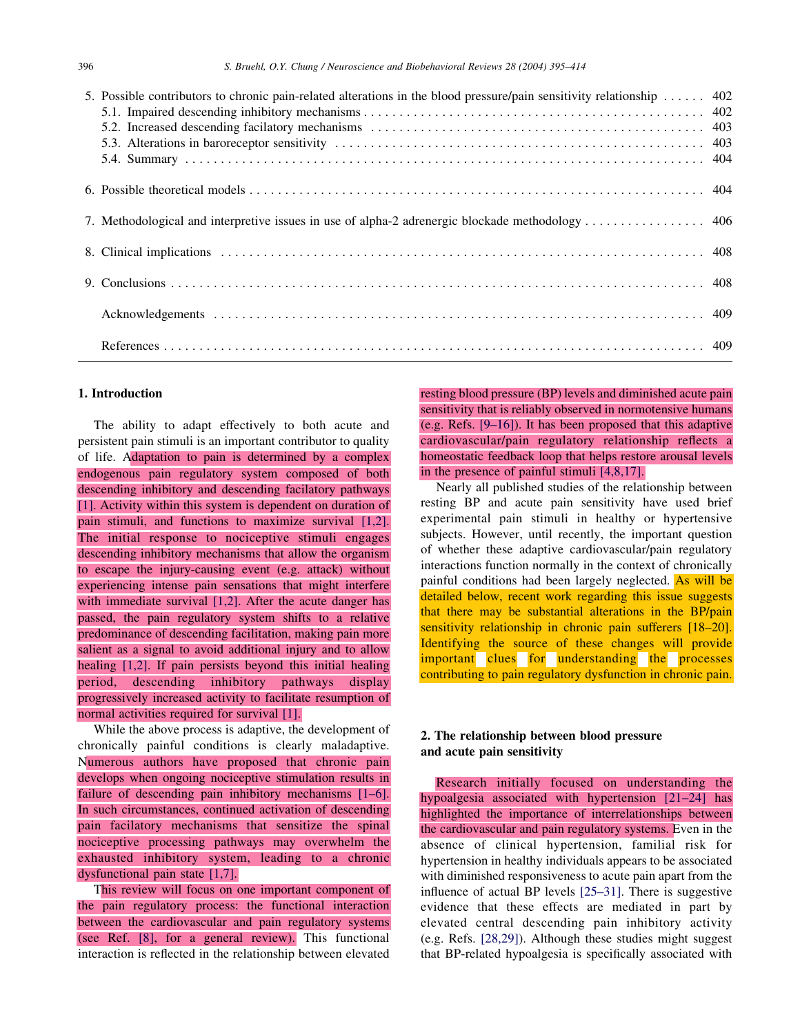| 5. Possible contributors to chronic pain-related alterations in the blood pressure/pain sensitivity relationship  402 |  |
|-----------------------------------------------------------------------------------------------------------------------|--|
|                                                                                                                       |  |
|                                                                                                                       |  |
|                                                                                                                       |  |
|                                                                                                                       |  |
|                                                                                                                       |  |
|                                                                                                                       |  |

## 1. Introduction

The ability to adapt effectively to both acute and persistent pain stimuli is an important contributor to quality of life. Adaptation to pain is determined by a complex endogenous pain regulatory system composed of both descending inhibitory and descending facilatory pathways [1]. Activity within this system is dependent on duration of pain stimuli, and functions to maximize survival [1,2]. The initial response to nociceptive stimuli engages descending inhibitory mechanisms that allow the organism to escape the injury-causing event (e.g. attack) without experiencing intense pain sensations that might interfere with immediate survival [1,2]. After the acute danger has passed, the pain regulatory system shifts to a relative predominance of descending facilitation, making pain more salient as a signal to avoid additional injury and to allow healing [1,2]. If pain persists beyond this initial healing period, descending inhibitory pathways display progressively increased activity to facilitate resumption of normal activities required for survival [1].

While the above process is adaptive, the development of chronically painful conditions is clearly maladaptive. Numerous authors have proposed that chronic pain develops when ongoing nociceptive stimulation results in failure of descending pain inhibitory mechanisms [1–6]. In such circumstances, continued activation of descending pain facilatory mechanisms that sensitize the spinal nociceptive processing pathways may overwhelm the exhausted inhibitory system, leading to a chronic dysfunctional pain state [1,7].

This review will focus on one important component of the pain regulatory process: the functional interaction between the cardiovascular and pain regulatory systems (see Ref. [8], for a general review). This functional interaction is reflected in the relationship between elevated

resting blood pressure (BP) levels and diminished acute pain sensitivity that is reliably observed in normotensive humans (e.g. Refs. [9–16]). It has been proposed that this adaptive cardiovascular/pain regulatory relationship reflects a homeostatic feedback loop that helps restore arousal levels in the presence of painful stimuli [4,8,17].

Nearly all published studies of the relationship between resting BP and acute pain sensitivity have used brief experimental pain stimuli in healthy or hypertensive subjects. However, until recently, the important question of whether these adaptive cardiovascular/pain regulatory interactions function normally in the context of chronically painful conditions had been largely neglected. As will be detailed below, recent work regarding this issue suggests that there may be substantial alterations in the BP/pain sensitivity relationship in chronic pain sufferers [18–20]. Identifying the source of these changes will provide important clues for understanding the processes contributing to pain regulatory dysfunction in chronic pain.

# 2. The relationship between blood pressure and acute pain sensitivity

Research initially focused on understanding the hypoalgesia associated with hypertension [21–24] has highlighted the importance of interrelationships between the cardiovascular and pain regulatory systems. Even in the absence of clinical hypertension, familial risk for hypertension in healthy individuals appears to be associated with diminished responsiveness to acute pain apart from the influence of actual BP levels [25–31]. There is suggestive evidence that these effects are mediated in part by elevated central descending pain inhibitory activity (e.g. Refs. [28,29]). Although these studies might suggest that BP-related hypoalgesia is specifically associated with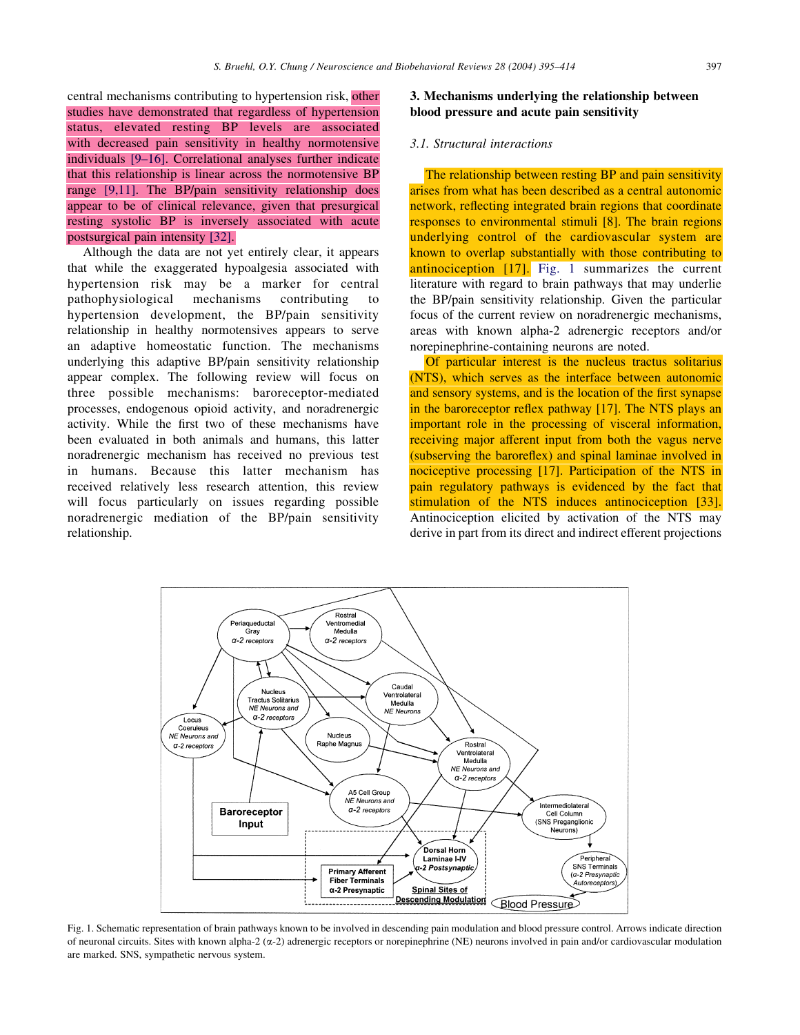central mechanisms contributing to hypertension risk, other studies have demonstrated that regardless of hypertension

that this relationship is linear across the normotensive BP range [9,11]. The BP/pain sensitivity relationship does appear to be of clinical relevance, given that presurgical resting systolic BP is inversely associated with acute

Although the data are not yet entirely clear, it appears that while the exaggerated hypoalgesia associated with hypertension risk may be a marker for central pathophysiological mechanisms contributing to hypertension development, the BP/pain sensitivity relationship in healthy normotensives appears to serve an adaptive homeostatic function. The mechanisms underlying this adaptive BP/pain sensitivity relationship appear complex. The following review will focus on three possible mechanisms: baroreceptor-mediated processes, endogenous opioid activity, and noradrenergic activity. While the first two of these mechanisms have been evaluated in both animals and humans, this latter noradrenergic mechanism has received no previous test in humans. Because this latter mechanism has received relatively less research attention, this review will focus particularly on issues regarding possible noradrenergic mediation of the BP/pain sensitivity

postsurgical pain intensity [32].

relationship.

3. Mechanisms underlying the relationship between

#### status, elevated resting BP levels are associated with decreased pain sensitivity in healthy normotensive individuals [9–16]. Correlational analyses further indicate 3.1. Structural interactions

The relationship between resting BP and pain sensitivity arises from what has been described as a central autonomic network, reflecting integrated brain regions that coordinate responses to environmental stimuli [8]. The brain regions underlying control of the cardiovascular system are known to overlap substantially with those contributing to antinociception [17]. Fig. 1 summarizes the current literature with regard to brain pathways that may underlie the BP/pain sensitivity relationship. Given the particular focus of the current review on noradrenergic mechanisms, areas with known alpha-2 adrenergic receptors and/or norepinephrine-containing neurons are noted.

blood pressure and acute pain sensitivity

Of particular interest is the nucleus tractus solitarius (NTS), which serves as the interface between autonomic and sensory systems, and is the location of the first synapse in the baroreceptor reflex pathway [17]. The NTS plays an important role in the processing of visceral information, receiving major afferent input from both the vagus nerve (subserving the baroreflex) and spinal laminae involved in nociceptive processing [17]. Participation of the NTS in pain regulatory pathways is evidenced by the fact that stimulation of the NTS induces antinociception [33]. Antinociception elicited by activation of the NTS may derive in part from its direct and indirect efferent projections

Rostral Ventromedial<br>Medulla Periaqueducta .quou<br>Gray  $\alpha$ -2 receptors  $a-2$  receptor: Cauda Nucleus Ventrolateral ctus Solitarius Medulla NE Neurons and **NE Neurons**  $\alpha$ -2 receptors Locus Coeruleus NE Neurons and Nucleus Raphe Magnu Rostra  $a$ -2 receptors Ventrolateral Medulla NE Neurons and  $\alpha$ -2 receptors A5 Cell Group NE Neurons and Intermediolatera  $a-2$  receptors Baroreceptor Cell Column (SNS Preganglionic Input Neurons) **Dorsal Horn** Laminae I-IV Peripheral SNS Terminals -2 Postsynaptic **Primary Afferent** (a-2 Presynantic **Fiber Terminals** Autoreceptors) α-2 Presynaptic **Spinal Sites of** Descending Modulation<br>
Blood Pressure

Fig. 1. Schematic representation of brain pathways known to be involved in descending pain modulation and blood pressure control. Arrows indicate direction of neuronal circuits. Sites with known alpha-2 (a-2) adrenergic receptors or norepinephrine (NE) neurons involved in pain and/or cardiovascular modulation are marked. SNS, sympathetic nervous system.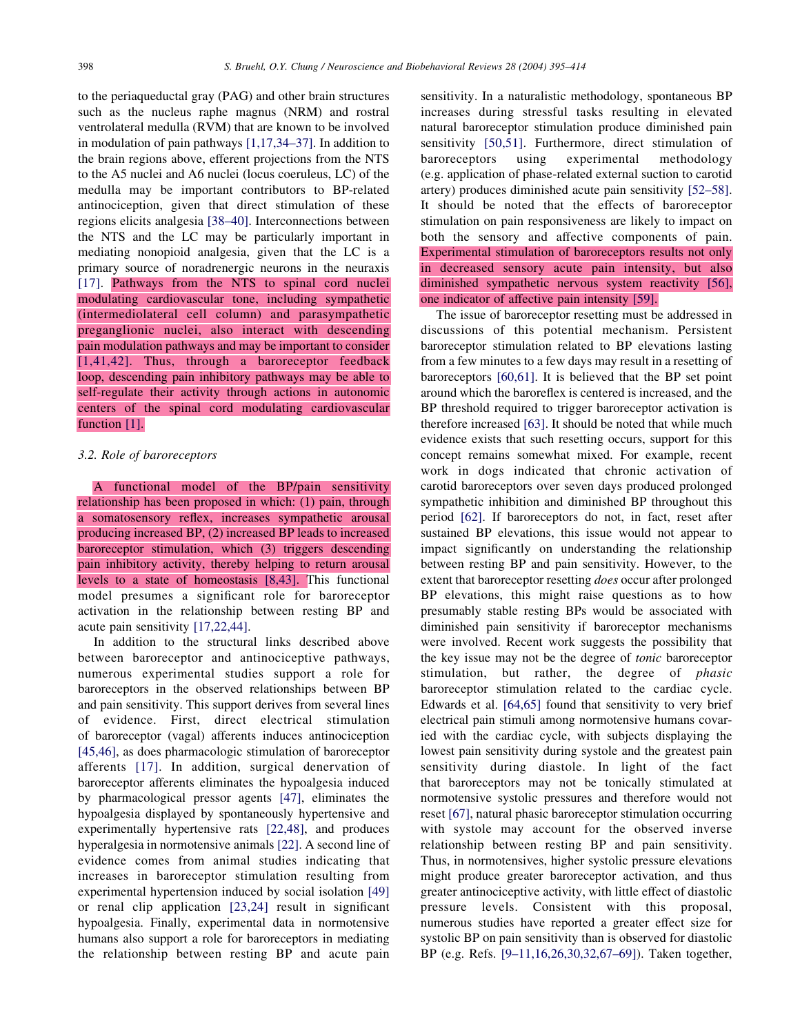to the periaqueductal gray (PAG) and other brain structures such as the nucleus raphe magnus (NRM) and rostral ventrolateral medulla (RVM) that are known to be involved in modulation of pain pathways [1,17,34–37]. In addition to the brain regions above, efferent projections from the NTS to the A5 nuclei and A6 nuclei (locus coeruleus, LC) of the medulla may be important contributors to BP-related antinociception, given that direct stimulation of these regions elicits analgesia [38–40]. Interconnections between the NTS and the LC may be particularly important in mediating nonopioid analgesia, given that the LC is a primary source of noradrenergic neurons in the neuraxis [17]. Pathways from the NTS to spinal cord nuclei modulating cardiovascular tone, including sympathetic (intermediolateral cell column) and parasympathetic preganglionic nuclei, also interact with descending pain modulation pathways and may be important to consider [1,41,42]. Thus, through a baroreceptor feedback loop, descending pain inhibitory pathways may be able to self-regulate their activity through actions in autonomic centers of the spinal cord modulating cardiovascular function [1].

## 3.2. Role of baroreceptors

A functional model of the BP/pain sensitivity relationship has been proposed in which: (1) pain, through a somatosensory reflex, increases sympathetic arousal producing increased BP, (2) increased BP leads to increased baroreceptor stimulation, which (3) triggers descending pain inhibitory activity, thereby helping to return arousal levels to a state of homeostasis [8,43]. This functional model presumes a significant role for baroreceptor activation in the relationship between resting BP and acute pain sensitivity [17,22,44].

In addition to the structural links described above between baroreceptor and antinociceptive pathways, numerous experimental studies support a role for baroreceptors in the observed relationships between BP and pain sensitivity. This support derives from several lines of evidence. First, direct electrical stimulation of baroreceptor (vagal) afferents induces antinociception [45,46], as does pharmacologic stimulation of baroreceptor afferents [17]. In addition, surgical denervation of baroreceptor afferents eliminates the hypoalgesia induced by pharmacological pressor agents [47], eliminates the hypoalgesia displayed by spontaneously hypertensive and experimentally hypertensive rats [22,48], and produces hyperalgesia in normotensive animals [22]. A second line of evidence comes from animal studies indicating that increases in baroreceptor stimulation resulting from experimental hypertension induced by social isolation [49] or renal clip application [23,24] result in significant hypoalgesia. Finally, experimental data in normotensive humans also support a role for baroreceptors in mediating the relationship between resting BP and acute pain

sensitivity. In a naturalistic methodology, spontaneous BP increases during stressful tasks resulting in elevated natural baroreceptor stimulation produce diminished pain sensitivity [50,51]. Furthermore, direct stimulation of baroreceptors using experimental methodology (e.g. application of phase-related external suction to carotid artery) produces diminished acute pain sensitivity [52–58]. It should be noted that the effects of baroreceptor stimulation on pain responsiveness are likely to impact on both the sensory and affective components of pain. Experimental stimulation of baroreceptors results not only in decreased sensory acute pain intensity, but also diminished sympathetic nervous system reactivity [56], one indicator of affective pain intensity [59].

The issue of baroreceptor resetting must be addressed in discussions of this potential mechanism. Persistent baroreceptor stimulation related to BP elevations lasting from a few minutes to a few days may result in a resetting of baroreceptors [60,61]. It is believed that the BP set point around which the baroreflex is centered is increased, and the BP threshold required to trigger baroreceptor activation is therefore increased [63]. It should be noted that while much evidence exists that such resetting occurs, support for this concept remains somewhat mixed. For example, recent work in dogs indicated that chronic activation of carotid baroreceptors over seven days produced prolonged sympathetic inhibition and diminished BP throughout this period [62]. If baroreceptors do not, in fact, reset after sustained BP elevations, this issue would not appear to impact significantly on understanding the relationship between resting BP and pain sensitivity. However, to the extent that baroreceptor resetting *does* occur after prolonged BP elevations, this might raise questions as to how presumably stable resting BPs would be associated with diminished pain sensitivity if baroreceptor mechanisms were involved. Recent work suggests the possibility that the key issue may not be the degree of *tonic* baroreceptor stimulation, but rather, the degree of *phasic* baroreceptor stimulation related to the cardiac cycle. Edwards et al. [64,65] found that sensitivity to very brief electrical pain stimuli among normotensive humans covaried with the cardiac cycle, with subjects displaying the lowest pain sensitivity during systole and the greatest pain sensitivity during diastole. In light of the fact that baroreceptors may not be tonically stimulated at normotensive systolic pressures and therefore would not reset [67], natural phasic baroreceptor stimulation occurring with systole may account for the observed inverse relationship between resting BP and pain sensitivity. Thus, in normotensives, higher systolic pressure elevations might produce greater baroreceptor activation, and thus greater antinociceptive activity, with little effect of diastolic pressure levels. Consistent with this proposal, numerous studies have reported a greater effect size for systolic BP on pain sensitivity than is observed for diastolic BP (e.g. Refs. [9–11,16,26,30,32,67–69]). Taken together,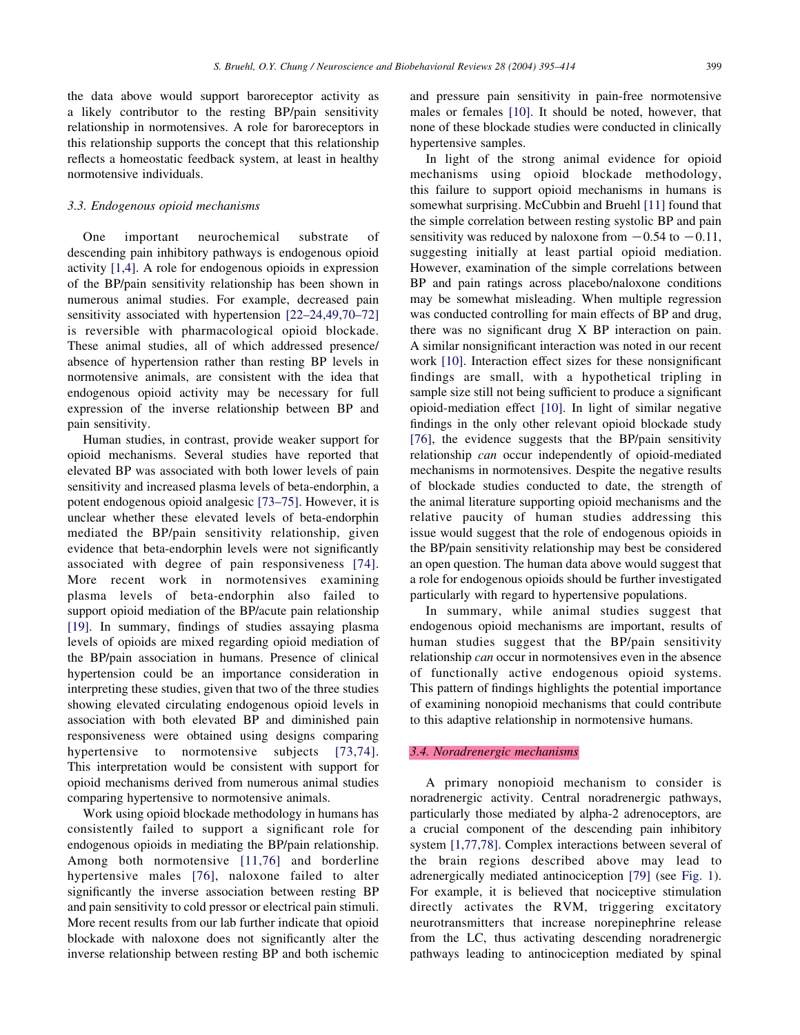the data above would support baroreceptor activity as a likely contributor to the resting BP/pain sensitivity relationship in normotensives. A role for baroreceptors in this relationship supports the concept that this relationship reflects a homeostatic feedback system, at least in healthy normotensive individuals.

#### 3.3. Endogenous opioid mechanisms

One important neurochemical substrate of descending pain inhibitory pathways is endogenous opioid activity [1,4]. A role for endogenous opioids in expression of the BP/pain sensitivity relationship has been shown in numerous animal studies. For example, decreased pain sensitivity associated with hypertension [22–24,49,70–72] is reversible with pharmacological opioid blockade. These animal studies, all of which addressed presence/ absence of hypertension rather than resting BP levels in normotensive animals, are consistent with the idea that endogenous opioid activity may be necessary for full expression of the inverse relationship between BP and pain sensitivity.

Human studies, in contrast, provide weaker support for opioid mechanisms. Several studies have reported that elevated BP was associated with both lower levels of pain sensitivity and increased plasma levels of beta-endorphin, a potent endogenous opioid analgesic [73–75]. However, it is unclear whether these elevated levels of beta-endorphin mediated the BP/pain sensitivity relationship, given evidence that beta-endorphin levels were not significantly associated with degree of pain responsiveness [74]. More recent work in normotensives examining plasma levels of beta-endorphin also failed to support opioid mediation of the BP/acute pain relationship [19]. In summary, findings of studies assaying plasma levels of opioids are mixed regarding opioid mediation of the BP/pain association in humans. Presence of clinical hypertension could be an importance consideration in interpreting these studies, given that two of the three studies showing elevated circulating endogenous opioid levels in association with both elevated BP and diminished pain responsiveness were obtained using designs comparing hypertensive to normotensive subjects [73,74]. This interpretation would be consistent with support for opioid mechanisms derived from numerous animal studies comparing hypertensive to normotensive animals.

Work using opioid blockade methodology in humans has consistently failed to support a significant role for endogenous opioids in mediating the BP/pain relationship. Among both normotensive [11,76] and borderline hypertensive males [76], naloxone failed to alter significantly the inverse association between resting BP and pain sensitivity to cold pressor or electrical pain stimuli. More recent results from our lab further indicate that opioid blockade with naloxone does not significantly alter the inverse relationship between resting BP and both ischemic and pressure pain sensitivity in pain-free normotensive males or females [10]. It should be noted, however, that none of these blockade studies were conducted in clinically hypertensive samples.

In light of the strong animal evidence for opioid mechanisms using opioid blockade methodology, this failure to support opioid mechanisms in humans is somewhat surprising. McCubbin and Bruehl [11] found that the simple correlation between resting systolic BP and pain sensitivity was reduced by naloxone from  $-0.54$  to  $-0.11$ , suggesting initially at least partial opioid mediation. However, examination of the simple correlations between BP and pain ratings across placebo/naloxone conditions may be somewhat misleading. When multiple regression was conducted controlling for main effects of BP and drug, there was no significant drug X BP interaction on pain. A similar nonsignificant interaction was noted in our recent work [10]. Interaction effect sizes for these nonsignificant findings are small, with a hypothetical tripling in sample size still not being sufficient to produce a significant opioid-mediation effect [10]. In light of similar negative findings in the only other relevant opioid blockade study [76], the evidence suggests that the BP/pain sensitivity relationship *can* occur independently of opioid-mediated mechanisms in normotensives. Despite the negative results of blockade studies conducted to date, the strength of the animal literature supporting opioid mechanisms and the relative paucity of human studies addressing this issue would suggest that the role of endogenous opioids in the BP/pain sensitivity relationship may best be considered an open question. The human data above would suggest that a role for endogenous opioids should be further investigated particularly with regard to hypertensive populations.

In summary, while animal studies suggest that endogenous opioid mechanisms are important, results of human studies suggest that the BP/pain sensitivity relationship *can* occur in normotensives even in the absence of functionally active endogenous opioid systems. This pattern of findings highlights the potential importance of examining nonopioid mechanisms that could contribute to this adaptive relationship in normotensive humans.

#### 3.4. Noradrenergic mechanisms

A primary nonopioid mechanism to consider is noradrenergic activity. Central noradrenergic pathways, particularly those mediated by alpha-2 adrenoceptors, are a crucial component of the descending pain inhibitory system [1,77,78]. Complex interactions between several of the brain regions described above may lead to adrenergically mediated antinociception [79] (see Fig. 1). For example, it is believed that nociceptive stimulation directly activates the RVM, triggering excitatory neurotransmitters that increase norepinephrine release from the LC, thus activating descending noradrenergic pathways leading to antinociception mediated by spinal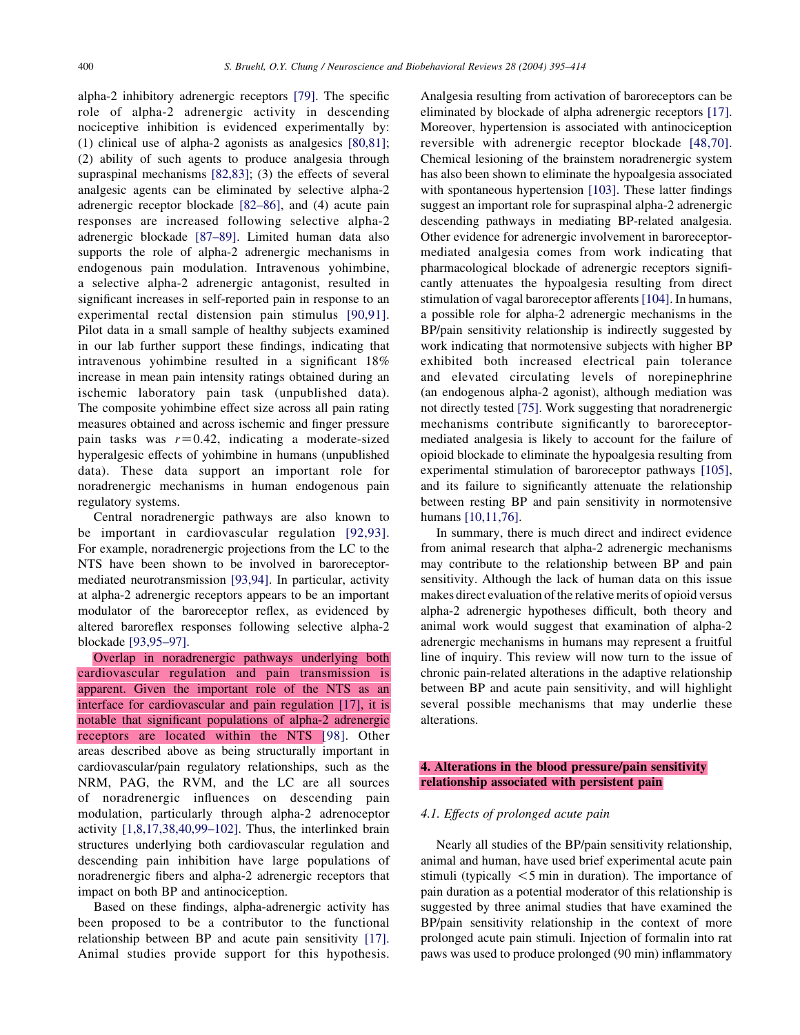alpha-2 inhibitory adrenergic receptors [79]. The specific role of alpha-2 adrenergic activity in descending nociceptive inhibition is evidenced experimentally by: (1) clinical use of alpha-2 agonists as analgesics [80,81]; (2) ability of such agents to produce analgesia through supraspinal mechanisms [82,83]; (3) the effects of several analgesic agents can be eliminated by selective alpha-2 adrenergic receptor blockade [82–86], and (4) acute pain responses are increased following selective alpha-2 adrenergic blockade [87–89]. Limited human data also supports the role of alpha-2 adrenergic mechanisms in endogenous pain modulation. Intravenous yohimbine, a selective alpha-2 adrenergic antagonist, resulted in significant increases in self-reported pain in response to an experimental rectal distension pain stimulus [90,91]. Pilot data in a small sample of healthy subjects examined in our lab further support these findings, indicating that intravenous yohimbine resulted in a significant 18% increase in mean pain intensity ratings obtained during an ischemic laboratory pain task (unpublished data). The composite yohimbine effect size across all pain rating measures obtained and across ischemic and finger pressure pain tasks was  $r=0.42$ , indicating a moderate-sized hyperalgesic effects of yohimbine in humans (unpublished data). These data support an important role for noradrenergic mechanisms in human endogenous pain regulatory systems.

Central noradrenergic pathways are also known to be important in cardiovascular regulation [92,93]. For example, noradrenergic projections from the LC to the NTS have been shown to be involved in baroreceptormediated neurotransmission [93,94]. In particular, activity at alpha-2 adrenergic receptors appears to be an important modulator of the baroreceptor reflex, as evidenced by altered baroreflex responses following selective alpha-2 blockade [93,95–97].

Overlap in noradrenergic pathways underlying both cardiovascular regulation and pain transmission is apparent. Given the important role of the NTS as an interface for cardiovascular and pain regulation [17], it is notable that significant populations of alpha-2 adrenergic receptors are located within the NTS [98]. Other areas described above as being structurally important in cardiovascular/pain regulatory relationships, such as the NRM, PAG, the RVM, and the LC are all sources of noradrenergic influences on descending pain modulation, particularly through alpha-2 adrenoceptor activity [1,8,17,38,40,99–102]. Thus, the interlinked brain structures underlying both cardiovascular regulation and descending pain inhibition have large populations of noradrenergic fibers and alpha-2 adrenergic receptors that impact on both BP and antinociception.

Based on these findings, alpha-adrenergic activity has been proposed to be a contributor to the functional relationship between BP and acute pain sensitivity [17]. Animal studies provide support for this hypothesis.

Analgesia resulting from activation of baroreceptors can be eliminated by blockade of alpha adrenergic receptors [17]. Moreover, hypertension is associated with antinociception reversible with adrenergic receptor blockade [48,70]. Chemical lesioning of the brainstem noradrenergic system has also been shown to eliminate the hypoalgesia associated with spontaneous hypertension [103]. These latter findings suggest an important role for supraspinal alpha-2 adrenergic descending pathways in mediating BP-related analgesia. Other evidence for adrenergic involvement in baroreceptormediated analgesia comes from work indicating that pharmacological blockade of adrenergic receptors significantly attenuates the hypoalgesia resulting from direct stimulation of vagal baroreceptor afferents[104]. In humans, a possible role for alpha-2 adrenergic mechanisms in the BP/pain sensitivity relationship is indirectly suggested by work indicating that normotensive subjects with higher BP exhibited both increased electrical pain tolerance and elevated circulating levels of norepinephrine (an endogenous alpha-2 agonist), although mediation was not directly tested [75]. Work suggesting that noradrenergic mechanisms contribute significantly to baroreceptormediated analgesia is likely to account for the failure of opioid blockade to eliminate the hypoalgesia resulting from experimental stimulation of baroreceptor pathways [105], and its failure to significantly attenuate the relationship between resting BP and pain sensitivity in normotensive humans [10,11,76].

In summary, there is much direct and indirect evidence from animal research that alpha-2 adrenergic mechanisms may contribute to the relationship between BP and pain sensitivity. Although the lack of human data on this issue makes direct evaluation of the relative merits of opioid versus alpha-2 adrenergic hypotheses difficult, both theory and animal work would suggest that examination of alpha-2 adrenergic mechanisms in humans may represent a fruitful line of inquiry. This review will now turn to the issue of chronic pain-related alterations in the adaptive relationship between BP and acute pain sensitivity, and will highlight several possible mechanisms that may underlie these alterations.

# 4. Alterations in the blood pressure/pain sensitivity relationship associated with persistent pain

## 4.1. Effects of prolonged acute pain

Nearly all studies of the BP/pain sensitivity relationship, animal and human, have used brief experimental acute pain stimuli (typically  $\leq$ 5 min in duration). The importance of pain duration as a potential moderator of this relationship is suggested by three animal studies that have examined the BP/pain sensitivity relationship in the context of more prolonged acute pain stimuli. Injection of formalin into rat paws was used to produce prolonged (90 min) inflammatory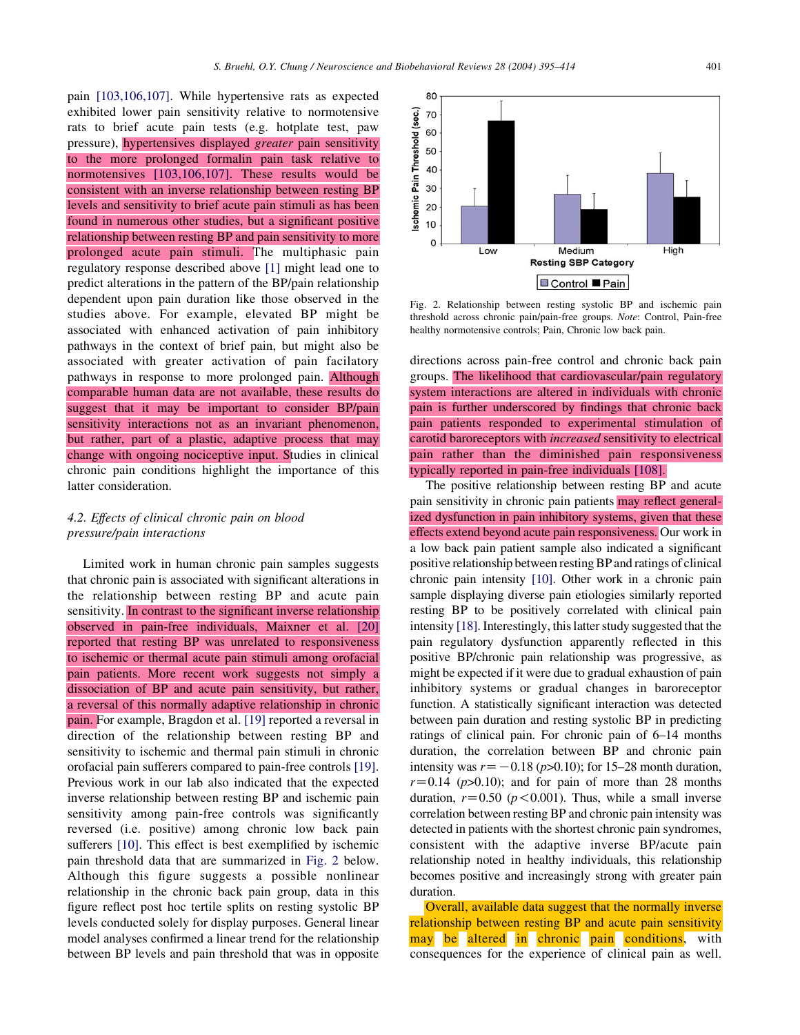pain [103,106,107]. While hypertensive rats as expected exhibited lower pain sensitivity relative to normotensive rats to brief acute pain tests (e.g. hotplate test, paw pressure), hypertensives displayed greater pain sensitivity to the more prolonged formalin pain task relative to normotensives [103,106,107]. These results would be consistent with an inverse relationship between resting BP levels and sensitivity to brief acute pain stimuli as has been found in numerous other studies, but a significant positive relationship between resting BP and pain sensitivity to more prolonged acute pain stimuli. The multiphasic pain regulatory response described above [1] might lead one to predict alterations in the pattern of the BP/pain relationship dependent upon pain duration like those observed in the studies above. For example, elevated BP might be associated with enhanced activation of pain inhibitory pathways in the context of brief pain, but might also be associated with greater activation of pain facilatory pathways in response to more prolonged pain. Although comparable human data are not available, these results do suggest that it may be important to consider BP/pain sensitivity interactions not as an invariant phenomenon, but rather, part of a plastic, adaptive process that may change with ongoing nociceptive input. Studies in clinical chronic pain conditions highlight the importance of this latter consideration.

# 4.2. Effects of clinical chronic pain on blood pressure/pain interactions

Limited work in human chronic pain samples suggests that chronic pain is associated with significant alterations in the relationship between resting BP and acute pain sensitivity. In contrast to the significant inverse relationship observed in pain-free individuals, Maixner et al. [20] reported that resting BP was unrelated to responsiveness to ischemic or thermal acute pain stimuli among orofacial pain patients. More recent work suggests not simply a dissociation of BP and acute pain sensitivity, but rather, a reversal of this normally adaptive relationship in chronic pain. For example, Bragdon et al. [19] reported a reversal in direction of the relationship between resting BP and sensitivity to ischemic and thermal pain stimuli in chronic orofacial pain sufferers compared to pain-free controls [19]. Previous work in our lab also indicated that the expected inverse relationship between resting BP and ischemic pain sensitivity among pain-free controls was significantly reversed (i.e. positive) among chronic low back pain sufferers [10]. This effect is best exemplified by ischemic pain threshold data that are summarized in Fig. 2 below. Although this figure suggests a possible nonlinear relationship in the chronic back pain group, data in this figure reflect post hoc tertile splits on resting systolic BP levels conducted solely for display purposes. General linear model analyses confirmed a linear trend for the relationship between BP levels and pain threshold that was in opposite



Fig. 2. Relationship between resting systolic BP and ischemic pain threshold across chronic pain/pain-free groups. Note: Control, Pain-free healthy normotensive controls; Pain, Chronic low back pain.

directions across pain-free control and chronic back pain groups. The likelihood that cardiovascular/pain regulatory system interactions are altered in individuals with chronic pain is further underscored by findings that chronic back pain patients responded to experimental stimulation of carotid baroreceptors with increased sensitivity to electrical pain rather than the diminished pain responsiveness typically reported in pain-free individuals [108].

The positive relationship between resting BP and acute pain sensitivity in chronic pain patients may reflect generalized dysfunction in pain inhibitory systems, given that these effects extend beyond acute pain responsiveness. Our work in a low back pain patient sample also indicated a significant positive relationship between resting BP and ratings of clinical chronic pain intensity [10]. Other work in a chronic pain sample displaying diverse pain etiologies similarly reported resting BP to be positively correlated with clinical pain intensity [18]. Interestingly, this latter study suggested that the pain regulatory dysfunction apparently reflected in this positive BP/chronic pain relationship was progressive, as might be expected if it were due to gradual exhaustion of pain inhibitory systems or gradual changes in baroreceptor function. A statistically significant interaction was detected between pain duration and resting systolic BP in predicting ratings of clinical pain. For chronic pain of 6–14 months duration, the correlation between BP and chronic pain intensity was  $r=-0.18$  (p>0.10); for 15–28 month duration,  $r=0.14$  ( $p>0.10$ ); and for pain of more than 28 months duration,  $r=0.50$  ( $p<0.001$ ). Thus, while a small inverse correlation between resting BP and chronic pain intensity was detected in patients with the shortest chronic pain syndromes, consistent with the adaptive inverse BP/acute pain relationship noted in healthy individuals, this relationship becomes positive and increasingly strong with greater pain duration.

Overall, available data suggest that the normally inverse relationship between resting BP and acute pain sensitivity may be altered in chronic pain conditions, with consequences for the experience of clinical pain as well.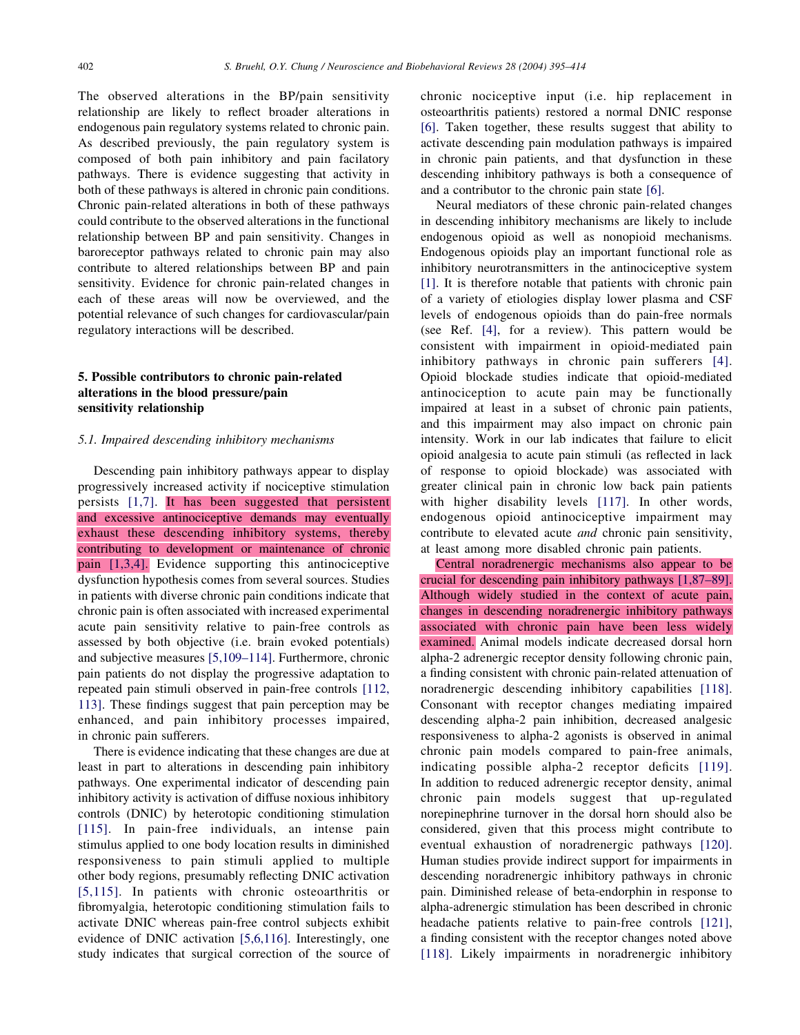The observed alterations in the BP/pain sensitivity relationship are likely to reflect broader alterations in endogenous pain regulatory systems related to chronic pain. As described previously, the pain regulatory system is composed of both pain inhibitory and pain facilatory pathways. There is evidence suggesting that activity in both of these pathways is altered in chronic pain conditions. Chronic pain-related alterations in both of these pathways could contribute to the observed alterations in the functional relationship between BP and pain sensitivity. Changes in baroreceptor pathways related to chronic pain may also contribute to altered relationships between BP and pain sensitivity. Evidence for chronic pain-related changes in each of these areas will now be overviewed, and the potential relevance of such changes for cardiovascular/pain regulatory interactions will be described.

# 5. Possible contributors to chronic pain-related alterations in the blood pressure/pain sensitivity relationship

## 5.1. Impaired descending inhibitory mechanisms

Descending pain inhibitory pathways appear to display progressively increased activity if nociceptive stimulation persists [1,7]. It has been suggested that persistent and excessive antinociceptive demands may eventually exhaust these descending inhibitory systems, thereby contributing to development or maintenance of chronic pain [1,3,4]. Evidence supporting this antinociceptive dysfunction hypothesis comes from several sources. Studies in patients with diverse chronic pain conditions indicate that chronic pain is often associated with increased experimental acute pain sensitivity relative to pain-free controls as assessed by both objective (i.e. brain evoked potentials) and subjective measures [5,109–114]. Furthermore, chronic pain patients do not display the progressive adaptation to repeated pain stimuli observed in pain-free controls [112, 113]. These findings suggest that pain perception may be enhanced, and pain inhibitory processes impaired, in chronic pain sufferers.

There is evidence indicating that these changes are due at least in part to alterations in descending pain inhibitory pathways. One experimental indicator of descending pain inhibitory activity is activation of diffuse noxious inhibitory controls (DNIC) by heterotopic conditioning stimulation [115]. In pain-free individuals, an intense pain stimulus applied to one body location results in diminished responsiveness to pain stimuli applied to multiple other body regions, presumably reflecting DNIC activation [5,115]. In patients with chronic osteoarthritis or fibromyalgia, heterotopic conditioning stimulation fails to activate DNIC whereas pain-free control subjects exhibit evidence of DNIC activation [5,6,116]. Interestingly, one study indicates that surgical correction of the source of

chronic nociceptive input (i.e. hip replacement in osteoarthritis patients) restored a normal DNIC response [6]. Taken together, these results suggest that ability to activate descending pain modulation pathways is impaired in chronic pain patients, and that dysfunction in these descending inhibitory pathways is both a consequence of and a contributor to the chronic pain state [6].

Neural mediators of these chronic pain-related changes in descending inhibitory mechanisms are likely to include endogenous opioid as well as nonopioid mechanisms. Endogenous opioids play an important functional role as inhibitory neurotransmitters in the antinociceptive system [1]. It is therefore notable that patients with chronic pain of a variety of etiologies display lower plasma and CSF levels of endogenous opioids than do pain-free normals (see Ref. [4], for a review). This pattern would be consistent with impairment in opioid-mediated pain inhibitory pathways in chronic pain sufferers [4]. Opioid blockade studies indicate that opioid-mediated antinociception to acute pain may be functionally impaired at least in a subset of chronic pain patients, and this impairment may also impact on chronic pain intensity. Work in our lab indicates that failure to elicit opioid analgesia to acute pain stimuli (as reflected in lack of response to opioid blockade) was associated with greater clinical pain in chronic low back pain patients with higher disability levels [117]. In other words, endogenous opioid antinociceptive impairment may contribute to elevated acute and chronic pain sensitivity, at least among more disabled chronic pain patients.

Central noradrenergic mechanisms also appear to be crucial for descending pain inhibitory pathways [1,87–89]. Although widely studied in the context of acute pain, changes in descending noradrenergic inhibitory pathways associated with chronic pain have been less widely examined. Animal models indicate decreased dorsal horn alpha-2 adrenergic receptor density following chronic pain, a finding consistent with chronic pain-related attenuation of noradrenergic descending inhibitory capabilities [118]. Consonant with receptor changes mediating impaired descending alpha-2 pain inhibition, decreased analgesic responsiveness to alpha-2 agonists is observed in animal chronic pain models compared to pain-free animals, indicating possible alpha-2 receptor deficits [119]. In addition to reduced adrenergic receptor density, animal chronic pain models suggest that up-regulated norepinephrine turnover in the dorsal horn should also be considered, given that this process might contribute to eventual exhaustion of noradrenergic pathways [120]. Human studies provide indirect support for impairments in descending noradrenergic inhibitory pathways in chronic pain. Diminished release of beta-endorphin in response to alpha-adrenergic stimulation has been described in chronic headache patients relative to pain-free controls [121], a finding consistent with the receptor changes noted above [118]. Likely impairments in noradrenergic inhibitory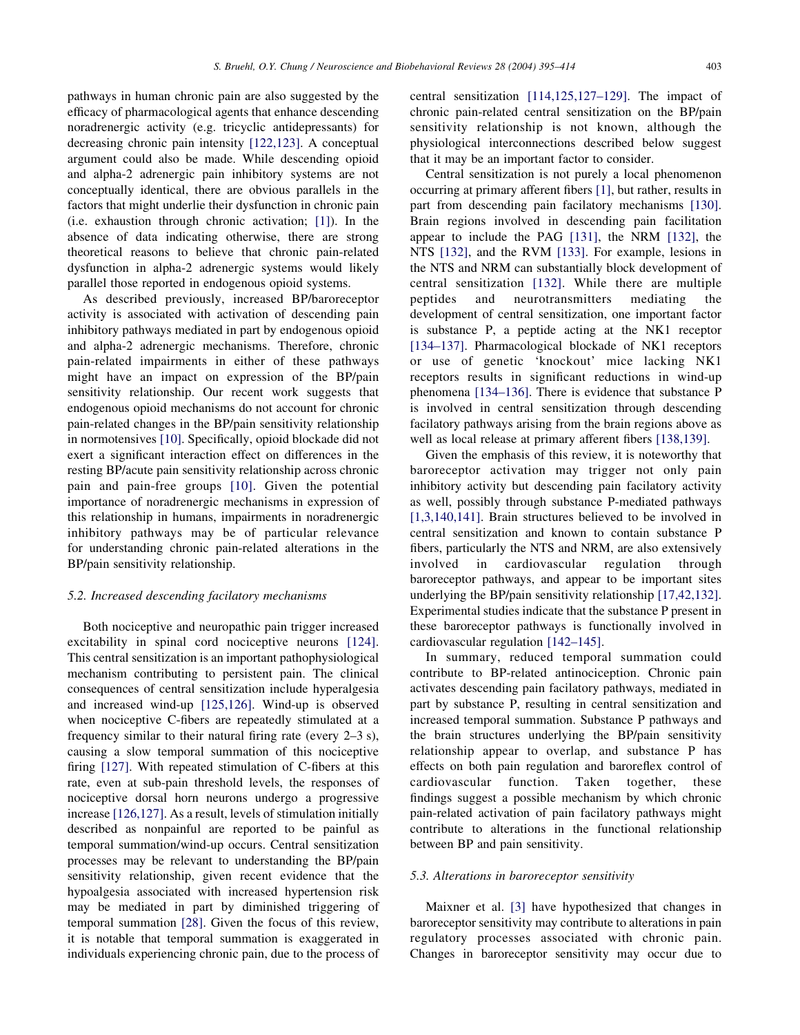pathways in human chronic pain are also suggested by the efficacy of pharmacological agents that enhance descending noradrenergic activity (e.g. tricyclic antidepressants) for decreasing chronic pain intensity [122,123]. A conceptual argument could also be made. While descending opioid and alpha-2 adrenergic pain inhibitory systems are not conceptually identical, there are obvious parallels in the factors that might underlie their dysfunction in chronic pain (i.e. exhaustion through chronic activation; [1]). In the absence of data indicating otherwise, there are strong theoretical reasons to believe that chronic pain-related dysfunction in alpha-2 adrenergic systems would likely parallel those reported in endogenous opioid systems.

As described previously, increased BP/baroreceptor activity is associated with activation of descending pain inhibitory pathways mediated in part by endogenous opioid and alpha-2 adrenergic mechanisms. Therefore, chronic pain-related impairments in either of these pathways might have an impact on expression of the BP/pain sensitivity relationship. Our recent work suggests that endogenous opioid mechanisms do not account for chronic pain-related changes in the BP/pain sensitivity relationship in normotensives [10]. Specifically, opioid blockade did not exert a significant interaction effect on differences in the resting BP/acute pain sensitivity relationship across chronic pain and pain-free groups [10]. Given the potential importance of noradrenergic mechanisms in expression of this relationship in humans, impairments in noradrenergic inhibitory pathways may be of particular relevance for understanding chronic pain-related alterations in the BP/pain sensitivity relationship.

## 5.2. Increased descending facilatory mechanisms

Both nociceptive and neuropathic pain trigger increased excitability in spinal cord nociceptive neurons [124]. This central sensitization is an important pathophysiological mechanism contributing to persistent pain. The clinical consequences of central sensitization include hyperalgesia and increased wind-up [125,126]. Wind-up is observed when nociceptive C-fibers are repeatedly stimulated at a frequency similar to their natural firing rate (every 2–3 s), causing a slow temporal summation of this nociceptive firing [127]. With repeated stimulation of C-fibers at this rate, even at sub-pain threshold levels, the responses of nociceptive dorsal horn neurons undergo a progressive increase [126,127]. As a result, levels of stimulation initially described as nonpainful are reported to be painful as temporal summation/wind-up occurs. Central sensitization processes may be relevant to understanding the BP/pain sensitivity relationship, given recent evidence that the hypoalgesia associated with increased hypertension risk may be mediated in part by diminished triggering of temporal summation [28]. Given the focus of this review, it is notable that temporal summation is exaggerated in individuals experiencing chronic pain, due to the process of central sensitization [114,125,127–129]. The impact of chronic pain-related central sensitization on the BP/pain sensitivity relationship is not known, although the physiological interconnections described below suggest that it may be an important factor to consider.

Central sensitization is not purely a local phenomenon occurring at primary afferent fibers [1], but rather, results in part from descending pain facilatory mechanisms [130]. Brain regions involved in descending pain facilitation appear to include the PAG [131], the NRM [132], the NTS [132], and the RVM [133]. For example, lesions in the NTS and NRM can substantially block development of central sensitization [132]. While there are multiple peptides and neurotransmitters mediating the development of central sensitization, one important factor is substance P, a peptide acting at the NK1 receptor [134–137]. Pharmacological blockade of NK1 receptors or use of genetic 'knockout' mice lacking NK1 receptors results in significant reductions in wind-up phenomena [134–136]. There is evidence that substance P is involved in central sensitization through descending facilatory pathways arising from the brain regions above as well as local release at primary afferent fibers [138,139].

Given the emphasis of this review, it is noteworthy that baroreceptor activation may trigger not only pain inhibitory activity but descending pain facilatory activity as well, possibly through substance P-mediated pathways [1,3,140,141]. Brain structures believed to be involved in central sensitization and known to contain substance P fibers, particularly the NTS and NRM, are also extensively involved in cardiovascular regulation through baroreceptor pathways, and appear to be important sites underlying the BP/pain sensitivity relationship [17,42,132]. Experimental studies indicate that the substance P present in these baroreceptor pathways is functionally involved in cardiovascular regulation [142–145].

In summary, reduced temporal summation could contribute to BP-related antinociception. Chronic pain activates descending pain facilatory pathways, mediated in part by substance P, resulting in central sensitization and increased temporal summation. Substance P pathways and the brain structures underlying the BP/pain sensitivity relationship appear to overlap, and substance P has effects on both pain regulation and baroreflex control of cardiovascular function. Taken together, these findings suggest a possible mechanism by which chronic pain-related activation of pain facilatory pathways might contribute to alterations in the functional relationship between BP and pain sensitivity.

## 5.3. Alterations in baroreceptor sensitivity

Maixner et al. [3] have hypothesized that changes in baroreceptor sensitivity may contribute to alterations in pain regulatory processes associated with chronic pain. Changes in baroreceptor sensitivity may occur due to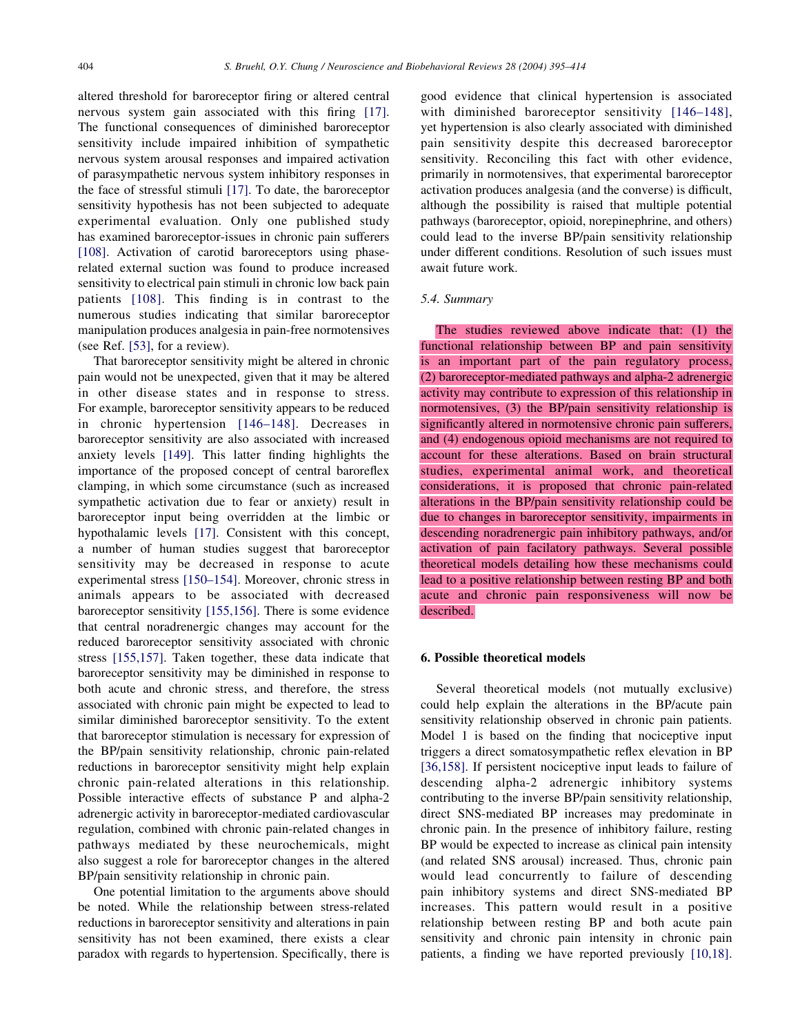altered threshold for baroreceptor firing or altered central nervous system gain associated with this firing [17]. The functional consequences of diminished baroreceptor sensitivity include impaired inhibition of sympathetic nervous system arousal responses and impaired activation of parasympathetic nervous system inhibitory responses in the face of stressful stimuli [17]. To date, the baroreceptor sensitivity hypothesis has not been subjected to adequate experimental evaluation. Only one published study has examined baroreceptor-issues in chronic pain sufferers [108]. Activation of carotid baroreceptors using phaserelated external suction was found to produce increased sensitivity to electrical pain stimuli in chronic low back pain patients [108]. This finding is in contrast to the numerous studies indicating that similar baroreceptor manipulation produces analgesia in pain-free normotensives (see Ref. [53], for a review).

That baroreceptor sensitivity might be altered in chronic pain would not be unexpected, given that it may be altered in other disease states and in response to stress. For example, baroreceptor sensitivity appears to be reduced in chronic hypertension [146–148]. Decreases in baroreceptor sensitivity are also associated with increased anxiety levels [149]. This latter finding highlights the importance of the proposed concept of central baroreflex clamping, in which some circumstance (such as increased sympathetic activation due to fear or anxiety) result in baroreceptor input being overridden at the limbic or hypothalamic levels [17]. Consistent with this concept, a number of human studies suggest that baroreceptor sensitivity may be decreased in response to acute experimental stress [150–154]. Moreover, chronic stress in animals appears to be associated with decreased baroreceptor sensitivity [155,156]. There is some evidence that central noradrenergic changes may account for the reduced baroreceptor sensitivity associated with chronic stress [155,157]. Taken together, these data indicate that baroreceptor sensitivity may be diminished in response to both acute and chronic stress, and therefore, the stress associated with chronic pain might be expected to lead to similar diminished baroreceptor sensitivity. To the extent that baroreceptor stimulation is necessary for expression of the BP/pain sensitivity relationship, chronic pain-related reductions in baroreceptor sensitivity might help explain chronic pain-related alterations in this relationship. Possible interactive effects of substance P and alpha-2 adrenergic activity in baroreceptor-mediated cardiovascular regulation, combined with chronic pain-related changes in pathways mediated by these neurochemicals, might also suggest a role for baroreceptor changes in the altered BP/pain sensitivity relationship in chronic pain.

One potential limitation to the arguments above should be noted. While the relationship between stress-related reductions in baroreceptor sensitivity and alterations in pain sensitivity has not been examined, there exists a clear paradox with regards to hypertension. Specifically, there is

good evidence that clinical hypertension is associated with diminished baroreceptor sensitivity [146–148], yet hypertension is also clearly associated with diminished pain sensitivity despite this decreased baroreceptor sensitivity. Reconciling this fact with other evidence, primarily in normotensives, that experimental baroreceptor activation produces analgesia (and the converse) is difficult, although the possibility is raised that multiple potential pathways (baroreceptor, opioid, norepinephrine, and others) could lead to the inverse BP/pain sensitivity relationship under different conditions. Resolution of such issues must await future work.

#### 5.4. Summary

The studies reviewed above indicate that: (1) the functional relationship between BP and pain sensitivity is an important part of the pain regulatory process, (2) baroreceptor-mediated pathways and alpha-2 adrenergic activity may contribute to expression of this relationship in normotensives, (3) the BP/pain sensitivity relationship is significantly altered in normotensive chronic pain sufferers, and (4) endogenous opioid mechanisms are not required to account for these alterations. Based on brain structural studies, experimental animal work, and theoretical considerations, it is proposed that chronic pain-related alterations in the BP/pain sensitivity relationship could be due to changes in baroreceptor sensitivity, impairments in descending noradrenergic pain inhibitory pathways, and/or activation of pain facilatory pathways. Several possible theoretical models detailing how these mechanisms could lead to a positive relationship between resting BP and both acute and chronic pain responsiveness will now be described.

#### 6. Possible theoretical models

Several theoretical models (not mutually exclusive) could help explain the alterations in the BP/acute pain sensitivity relationship observed in chronic pain patients. Model 1 is based on the finding that nociceptive input triggers a direct somatosympathetic reflex elevation in BP [36,158]. If persistent nociceptive input leads to failure of descending alpha-2 adrenergic inhibitory systems contributing to the inverse BP/pain sensitivity relationship, direct SNS-mediated BP increases may predominate in chronic pain. In the presence of inhibitory failure, resting BP would be expected to increase as clinical pain intensity (and related SNS arousal) increased. Thus, chronic pain would lead concurrently to failure of descending pain inhibitory systems and direct SNS-mediated BP increases. This pattern would result in a positive relationship between resting BP and both acute pain sensitivity and chronic pain intensity in chronic pain patients, a finding we have reported previously [10,18].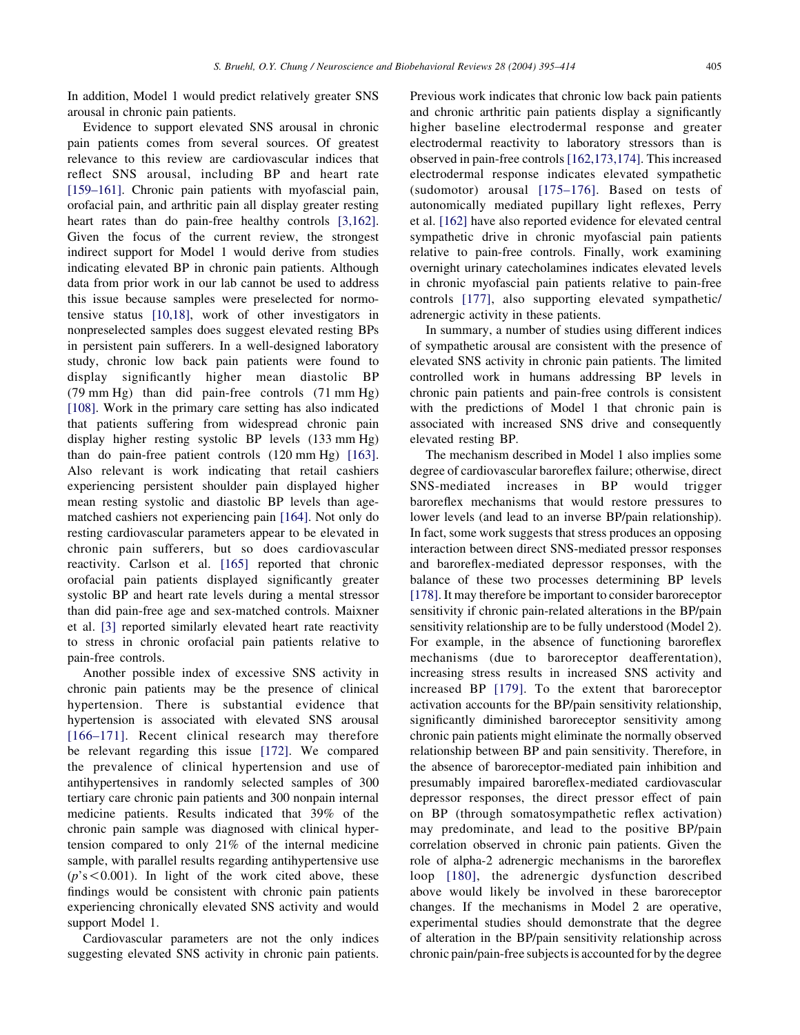In addition, Model 1 would predict relatively greater SNS arousal in chronic pain patients.

Evidence to support elevated SNS arousal in chronic pain patients comes from several sources. Of greatest relevance to this review are cardiovascular indices that reflect SNS arousal, including BP and heart rate [159–161]. Chronic pain patients with myofascial pain, orofacial pain, and arthritic pain all display greater resting heart rates than do pain-free healthy controls [3,162]. Given the focus of the current review, the strongest indirect support for Model 1 would derive from studies indicating elevated BP in chronic pain patients. Although data from prior work in our lab cannot be used to address this issue because samples were preselected for normotensive status [10,18], work of other investigators in nonpreselected samples does suggest elevated resting BPs in persistent pain sufferers. In a well-designed laboratory study, chronic low back pain patients were found to display significantly higher mean diastolic BP (79 mm Hg) than did pain-free controls (71 mm Hg) [108]. Work in the primary care setting has also indicated that patients suffering from widespread chronic pain display higher resting systolic BP levels (133 mm Hg) than do pain-free patient controls (120 mm Hg) [163]. Also relevant is work indicating that retail cashiers experiencing persistent shoulder pain displayed higher mean resting systolic and diastolic BP levels than agematched cashiers not experiencing pain [164]. Not only do resting cardiovascular parameters appear to be elevated in chronic pain sufferers, but so does cardiovascular reactivity. Carlson et al. [165] reported that chronic orofacial pain patients displayed significantly greater systolic BP and heart rate levels during a mental stressor than did pain-free age and sex-matched controls. Maixner et al. [3] reported similarly elevated heart rate reactivity to stress in chronic orofacial pain patients relative to pain-free controls.

Another possible index of excessive SNS activity in chronic pain patients may be the presence of clinical hypertension. There is substantial evidence that hypertension is associated with elevated SNS arousal [166–171]. Recent clinical research may therefore be relevant regarding this issue [172]. We compared the prevalence of clinical hypertension and use of antihypertensives in randomly selected samples of 300 tertiary care chronic pain patients and 300 nonpain internal medicine patients. Results indicated that 39% of the chronic pain sample was diagnosed with clinical hypertension compared to only 21% of the internal medicine sample, with parallel results regarding antihypertensive use  $(p's < 0.001)$ . In light of the work cited above, these findings would be consistent with chronic pain patients experiencing chronically elevated SNS activity and would support Model 1.

Cardiovascular parameters are not the only indices suggesting elevated SNS activity in chronic pain patients.

Previous work indicates that chronic low back pain patients and chronic arthritic pain patients display a significantly higher baseline electrodermal response and greater electrodermal reactivity to laboratory stressors than is observed in pain-free controls [162,173,174]. This increased electrodermal response indicates elevated sympathetic (sudomotor) arousal [175–176]. Based on tests of autonomically mediated pupillary light reflexes, Perry et al. [162] have also reported evidence for elevated central sympathetic drive in chronic myofascial pain patients relative to pain-free controls. Finally, work examining overnight urinary catecholamines indicates elevated levels in chronic myofascial pain patients relative to pain-free controls [177], also supporting elevated sympathetic/ adrenergic activity in these patients.

In summary, a number of studies using different indices of sympathetic arousal are consistent with the presence of elevated SNS activity in chronic pain patients. The limited controlled work in humans addressing BP levels in chronic pain patients and pain-free controls is consistent with the predictions of Model 1 that chronic pain is associated with increased SNS drive and consequently elevated resting BP.

The mechanism described in Model 1 also implies some degree of cardiovascular baroreflex failure; otherwise, direct SNS-mediated increases in BP would trigger baroreflex mechanisms that would restore pressures to lower levels (and lead to an inverse BP/pain relationship). In fact, some work suggests that stress produces an opposing interaction between direct SNS-mediated pressor responses and baroreflex-mediated depressor responses, with the balance of these two processes determining BP levels [178]. It may therefore be important to consider baroreceptor sensitivity if chronic pain-related alterations in the BP/pain sensitivity relationship are to be fully understood (Model 2). For example, in the absence of functioning baroreflex mechanisms (due to baroreceptor deafferentation), increasing stress results in increased SNS activity and increased BP [179]. To the extent that baroreceptor activation accounts for the BP/pain sensitivity relationship, significantly diminished baroreceptor sensitivity among chronic pain patients might eliminate the normally observed relationship between BP and pain sensitivity. Therefore, in the absence of baroreceptor-mediated pain inhibition and presumably impaired baroreflex-mediated cardiovascular depressor responses, the direct pressor effect of pain on BP (through somatosympathetic reflex activation) may predominate, and lead to the positive BP/pain correlation observed in chronic pain patients. Given the role of alpha-2 adrenergic mechanisms in the baroreflex loop [180], the adrenergic dysfunction described above would likely be involved in these baroreceptor changes. If the mechanisms in Model 2 are operative, experimental studies should demonstrate that the degree of alteration in the BP/pain sensitivity relationship across chronic pain/pain-free subjects is accounted for by the degree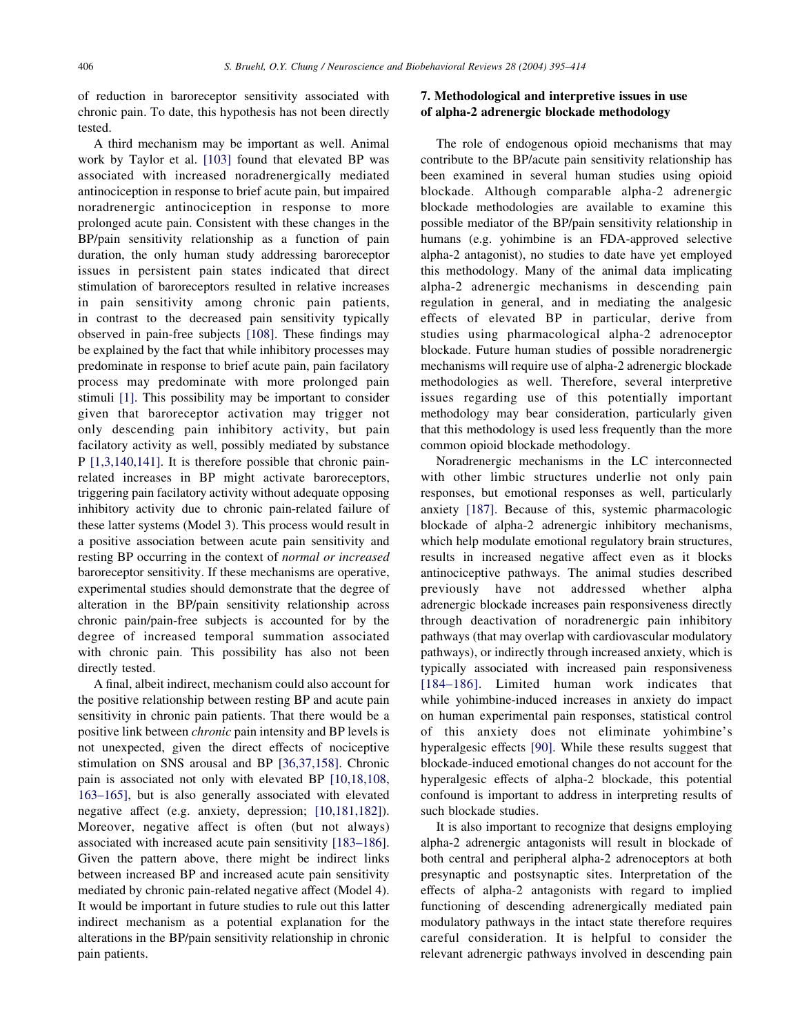of reduction in baroreceptor sensitivity associated with chronic pain. To date, this hypothesis has not been directly tested.

A third mechanism may be important as well. Animal work by Taylor et al. [103] found that elevated BP was associated with increased noradrenergically mediated antinociception in response to brief acute pain, but impaired noradrenergic antinociception in response to more prolonged acute pain. Consistent with these changes in the BP/pain sensitivity relationship as a function of pain duration, the only human study addressing baroreceptor issues in persistent pain states indicated that direct stimulation of baroreceptors resulted in relative increases in pain sensitivity among chronic pain patients, in contrast to the decreased pain sensitivity typically observed in pain-free subjects [108]. These findings may be explained by the fact that while inhibitory processes may predominate in response to brief acute pain, pain facilatory process may predominate with more prolonged pain stimuli [1]. This possibility may be important to consider given that baroreceptor activation may trigger not only descending pain inhibitory activity, but pain facilatory activity as well, possibly mediated by substance P [1,3,140,141]. It is therefore possible that chronic painrelated increases in BP might activate baroreceptors, triggering pain facilatory activity without adequate opposing inhibitory activity due to chronic pain-related failure of these latter systems (Model 3). This process would result in a positive association between acute pain sensitivity and resting BP occurring in the context of normal or increased baroreceptor sensitivity. If these mechanisms are operative, experimental studies should demonstrate that the degree of alteration in the BP/pain sensitivity relationship across chronic pain/pain-free subjects is accounted for by the degree of increased temporal summation associated with chronic pain. This possibility has also not been directly tested.

A final, albeit indirect, mechanism could also account for the positive relationship between resting BP and acute pain sensitivity in chronic pain patients. That there would be a positive link between chronic pain intensity and BP levels is not unexpected, given the direct effects of nociceptive stimulation on SNS arousal and BP [36,37,158]. Chronic pain is associated not only with elevated BP [10,18,108, 163–165], but is also generally associated with elevated negative affect (e.g. anxiety, depression; [10,181,182]). Moreover, negative affect is often (but not always) associated with increased acute pain sensitivity [183–186]. Given the pattern above, there might be indirect links between increased BP and increased acute pain sensitivity mediated by chronic pain-related negative affect (Model 4). It would be important in future studies to rule out this latter indirect mechanism as a potential explanation for the alterations in the BP/pain sensitivity relationship in chronic pain patients.

# 7. Methodological and interpretive issues in use of alpha-2 adrenergic blockade methodology

The role of endogenous opioid mechanisms that may contribute to the BP/acute pain sensitivity relationship has been examined in several human studies using opioid blockade. Although comparable alpha-2 adrenergic blockade methodologies are available to examine this possible mediator of the BP/pain sensitivity relationship in humans (e.g. yohimbine is an FDA-approved selective alpha-2 antagonist), no studies to date have yet employed this methodology. Many of the animal data implicating alpha-2 adrenergic mechanisms in descending pain regulation in general, and in mediating the analgesic effects of elevated BP in particular, derive from studies using pharmacological alpha-2 adrenoceptor blockade. Future human studies of possible noradrenergic mechanisms will require use of alpha-2 adrenergic blockade methodologies as well. Therefore, several interpretive issues regarding use of this potentially important methodology may bear consideration, particularly given that this methodology is used less frequently than the more common opioid blockade methodology.

Noradrenergic mechanisms in the LC interconnected with other limbic structures underlie not only pain responses, but emotional responses as well, particularly anxiety [187]. Because of this, systemic pharmacologic blockade of alpha-2 adrenergic inhibitory mechanisms, which help modulate emotional regulatory brain structures, results in increased negative affect even as it blocks antinociceptive pathways. The animal studies described previously have not addressed whether alpha adrenergic blockade increases pain responsiveness directly through deactivation of noradrenergic pain inhibitory pathways (that may overlap with cardiovascular modulatory pathways), or indirectly through increased anxiety, which is typically associated with increased pain responsiveness [184–186]. Limited human work indicates that while yohimbine-induced increases in anxiety do impact on human experimental pain responses, statistical control of this anxiety does not eliminate yohimbine's hyperalgesic effects [90]. While these results suggest that blockade-induced emotional changes do not account for the hyperalgesic effects of alpha-2 blockade, this potential confound is important to address in interpreting results of such blockade studies.

It is also important to recognize that designs employing alpha-2 adrenergic antagonists will result in blockade of both central and peripheral alpha-2 adrenoceptors at both presynaptic and postsynaptic sites. Interpretation of the effects of alpha-2 antagonists with regard to implied functioning of descending adrenergically mediated pain modulatory pathways in the intact state therefore requires careful consideration. It is helpful to consider the relevant adrenergic pathways involved in descending pain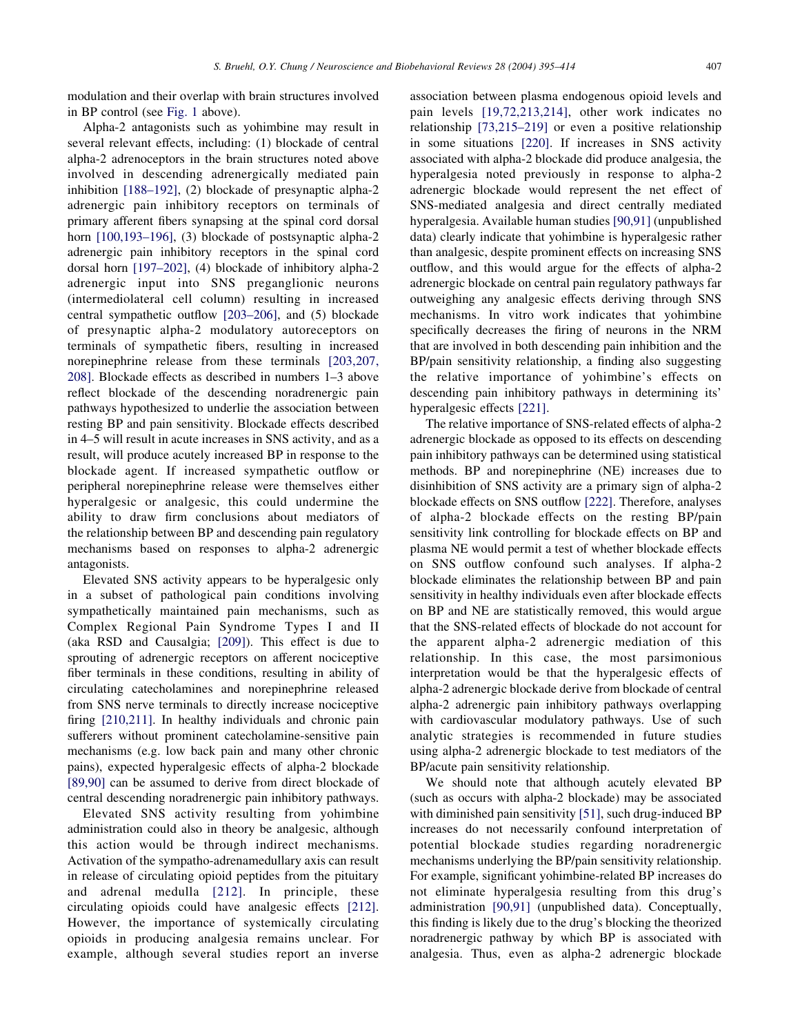modulation and their overlap with brain structures involved in BP control (see Fig. 1 above).

Alpha-2 antagonists such as yohimbine may result in several relevant effects, including: (1) blockade of central alpha-2 adrenoceptors in the brain structures noted above involved in descending adrenergically mediated pain inhibition [188–192], (2) blockade of presynaptic alpha-2 adrenergic pain inhibitory receptors on terminals of primary afferent fibers synapsing at the spinal cord dorsal horn [100,193-196], (3) blockade of postsynaptic alpha-2 adrenergic pain inhibitory receptors in the spinal cord dorsal horn [197–202], (4) blockade of inhibitory alpha-2 adrenergic input into SNS preganglionic neurons (intermediolateral cell column) resulting in increased central sympathetic outflow [203–206], and (5) blockade of presynaptic alpha-2 modulatory autoreceptors on terminals of sympathetic fibers, resulting in increased norepinephrine release from these terminals [203,207, 208]. Blockade effects as described in numbers 1–3 above reflect blockade of the descending noradrenergic pain pathways hypothesized to underlie the association between resting BP and pain sensitivity. Blockade effects described in 4–5 will result in acute increases in SNS activity, and as a result, will produce acutely increased BP in response to the blockade agent. If increased sympathetic outflow or peripheral norepinephrine release were themselves either hyperalgesic or analgesic, this could undermine the ability to draw firm conclusions about mediators of the relationship between BP and descending pain regulatory mechanisms based on responses to alpha-2 adrenergic antagonists.

Elevated SNS activity appears to be hyperalgesic only in a subset of pathological pain conditions involving sympathetically maintained pain mechanisms, such as Complex Regional Pain Syndrome Types I and II (aka RSD and Causalgia; [209]). This effect is due to sprouting of adrenergic receptors on afferent nociceptive fiber terminals in these conditions, resulting in ability of circulating catecholamines and norepinephrine released from SNS nerve terminals to directly increase nociceptive firing [210,211]. In healthy individuals and chronic pain sufferers without prominent catecholamine-sensitive pain mechanisms (e.g. low back pain and many other chronic pains), expected hyperalgesic effects of alpha-2 blockade [89,90] can be assumed to derive from direct blockade of central descending noradrenergic pain inhibitory pathways.

Elevated SNS activity resulting from yohimbine administration could also in theory be analgesic, although this action would be through indirect mechanisms. Activation of the sympatho-adrenamedullary axis can result in release of circulating opioid peptides from the pituitary and adrenal medulla [212]. In principle, these circulating opioids could have analgesic effects [212]. However, the importance of systemically circulating opioids in producing analgesia remains unclear. For example, although several studies report an inverse

association between plasma endogenous opioid levels and pain levels [19,72,213,214], other work indicates no relationship [73,215–219] or even a positive relationship in some situations [220]. If increases in SNS activity associated with alpha-2 blockade did produce analgesia, the hyperalgesia noted previously in response to alpha-2 adrenergic blockade would represent the net effect of SNS-mediated analgesia and direct centrally mediated hyperalgesia. Available human studies [90,91] (unpublished data) clearly indicate that yohimbine is hyperalgesic rather than analgesic, despite prominent effects on increasing SNS outflow, and this would argue for the effects of alpha-2 adrenergic blockade on central pain regulatory pathways far outweighing any analgesic effects deriving through SNS mechanisms. In vitro work indicates that yohimbine specifically decreases the firing of neurons in the NRM that are involved in both descending pain inhibition and the BP/pain sensitivity relationship, a finding also suggesting the relative importance of yohimbine's effects on descending pain inhibitory pathways in determining its' hyperalgesic effects [221].

The relative importance of SNS-related effects of alpha-2 adrenergic blockade as opposed to its effects on descending pain inhibitory pathways can be determined using statistical methods. BP and norepinephrine (NE) increases due to disinhibition of SNS activity are a primary sign of alpha-2 blockade effects on SNS outflow [222]. Therefore, analyses of alpha-2 blockade effects on the resting BP/pain sensitivity link controlling for blockade effects on BP and plasma NE would permit a test of whether blockade effects on SNS outflow confound such analyses. If alpha-2 blockade eliminates the relationship between BP and pain sensitivity in healthy individuals even after blockade effects on BP and NE are statistically removed, this would argue that the SNS-related effects of blockade do not account for the apparent alpha-2 adrenergic mediation of this relationship. In this case, the most parsimonious interpretation would be that the hyperalgesic effects of alpha-2 adrenergic blockade derive from blockade of central alpha-2 adrenergic pain inhibitory pathways overlapping with cardiovascular modulatory pathways. Use of such analytic strategies is recommended in future studies using alpha-2 adrenergic blockade to test mediators of the BP/acute pain sensitivity relationship.

We should note that although acutely elevated BP (such as occurs with alpha-2 blockade) may be associated with diminished pain sensitivity [51], such drug-induced BP increases do not necessarily confound interpretation of potential blockade studies regarding noradrenergic mechanisms underlying the BP/pain sensitivity relationship. For example, significant yohimbine-related BP increases do not eliminate hyperalgesia resulting from this drug's administration [90,91] (unpublished data). Conceptually, this finding is likely due to the drug's blocking the theorized noradrenergic pathway by which BP is associated with analgesia. Thus, even as alpha-2 adrenergic blockade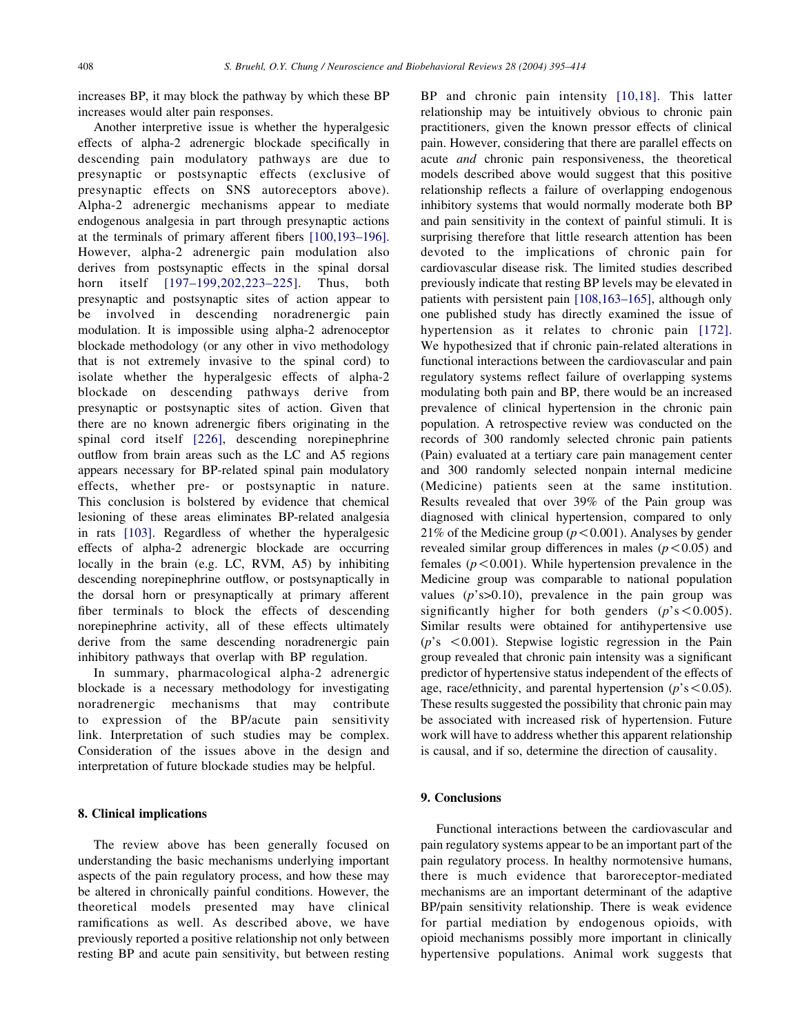increases BP, it may block the pathway by which these BP increases would alter pain responses.

Another interpretive issue is whether the hyperalgesic effects of alpha-2 adrenergic blockade specifically in descending pain modulatory pathways are due to presynaptic or postsynaptic effects (exclusive of presynaptic effects on SNS autoreceptors above). Alpha-2 adrenergic mechanisms appear to mediate endogenous analgesia in part through presynaptic actions at the terminals of primary afferent fibers [100,193–196]. However, alpha-2 adrenergic pain modulation also derives from postsynaptic effects in the spinal dorsal horn itself [197–199,202,223–225]. Thus, both presynaptic and postsynaptic sites of action appear to be involved in descending noradrenergic pain modulation. It is impossible using alpha-2 adrenoceptor blockade methodology (or any other in vivo methodology that is not extremely invasive to the spinal cord) to isolate whether the hyperalgesic effects of alpha-2 blockade on descending pathways derive from presynaptic or postsynaptic sites of action. Given that there are no known adrenergic fibers originating in the spinal cord itself [226], descending norepinephrine outflow from brain areas such as the LC and A5 regions appears necessary for BP-related spinal pain modulatory effects, whether pre- or postsynaptic in nature. This conclusion is bolstered by evidence that chemical lesioning of these areas eliminates BP-related analgesia in rats [103]. Regardless of whether the hyperalgesic effects of alpha-2 adrenergic blockade are occurring locally in the brain (e.g. LC, RVM, A5) by inhibiting descending norepinephrine outflow, or postsynaptically in the dorsal horn or presynaptically at primary afferent fiber terminals to block the effects of descending norepinephrine activity, all of these effects ultimately derive from the same descending noradrenergic pain inhibitory pathways that overlap with BP regulation.

In summary, pharmacological alpha-2 adrenergic blockade is a necessary methodology for investigating noradrenergic mechanisms that may contribute to expression of the BP/acute pain sensitivity link. Interpretation of such studies may be complex. Consideration of the issues above in the design and interpretation of future blockade studies may be helpful.

## 8. Clinical implications

The review above has been generally focused on understanding the basic mechanisms underlying important aspects of the pain regulatory process, and how these may be altered in chronically painful conditions. However, the theoretical models presented may have clinical ramifications as well. As described above, we have previously reported a positive relationship not only between resting BP and acute pain sensitivity, but between resting

BP and chronic pain intensity [10,18]. This latter relationship may be intuitively obvious to chronic pain practitioners, given the known pressor effects of clinical pain. However, considering that there are parallel effects on acute *and* chronic pain responsiveness, the theoretical models described above would suggest that this positive relationship reflects a failure of overlapping endogenous inhibitory systems that would normally moderate both BP and pain sensitivity in the context of painful stimuli. It is surprising therefore that little research attention has been devoted to the implications of chronic pain for cardiovascular disease risk. The limited studies described previously indicate that resting BP levels may be elevated in patients with persistent pain [108,163–165], although only one published study has directly examined the issue of hypertension as it relates to chronic pain [172]. We hypothesized that if chronic pain-related alterations in functional interactions between the cardiovascular and pain regulatory systems reflect failure of overlapping systems modulating both pain and BP, there would be an increased prevalence of clinical hypertension in the chronic pain population. A retrospective review was conducted on the records of 300 randomly selected chronic pain patients (Pain) evaluated at a tertiary care pain management center and 300 randomly selected nonpain internal medicine (Medicine) patients seen at the same institution. Results revealed that over 39% of the Pain group was diagnosed with clinical hypertension, compared to only 21% of the Medicine group ( $p < 0.001$ ). Analyses by gender revealed similar group differences in males ( $p < 0.05$ ) and females ( $p < 0.001$ ). While hypertension prevalence in the Medicine group was comparable to national population values  $(p$ 's $>0.10)$ , prevalence in the pain group was significantly higher for both genders  $(p's < 0.005)$ . Similar results were obtained for antihypertensive use  $(p's < 0.001)$ . Stepwise logistic regression in the Pain group revealed that chronic pain intensity was a significant predictor of hypertensive status independent of the effects of age, race/ethnicity, and parental hypertension ( $p$ 's < 0.05). These results suggested the possibility that chronic pain may be associated with increased risk of hypertension. Future work will have to address whether this apparent relationship is causal, and if so, determine the direction of causality.

# 9. Conclusions

Functional interactions between the cardiovascular and pain regulatory systems appear to be an important part of the pain regulatory process. In healthy normotensive humans, there is much evidence that baroreceptor-mediated mechanisms are an important determinant of the adaptive BP/pain sensitivity relationship. There is weak evidence for partial mediation by endogenous opioids, with opioid mechanisms possibly more important in clinically hypertensive populations. Animal work suggests that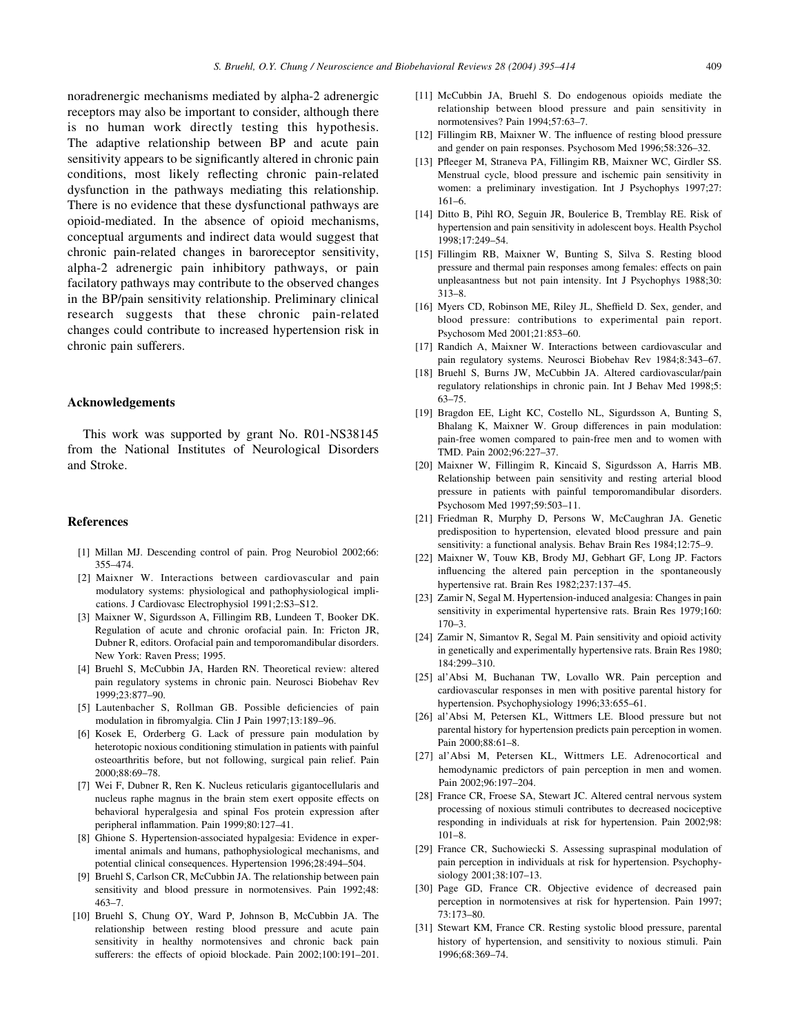noradrenergic mechanisms mediated by alpha-2 adrenergic receptors may also be important to consider, although there is no human work directly testing this hypothesis. The adaptive relationship between BP and acute pain sensitivity appears to be significantly altered in chronic pain conditions, most likely reflecting chronic pain-related dysfunction in the pathways mediating this relationship. There is no evidence that these dysfunctional pathways are opioid-mediated. In the absence of opioid mechanisms, conceptual arguments and indirect data would suggest that chronic pain-related changes in baroreceptor sensitivity, alpha-2 adrenergic pain inhibitory pathways, or pain facilatory pathways may contribute to the observed changes in the BP/pain sensitivity relationship. Preliminary clinical research suggests that these chronic pain-related changes could contribute to increased hypertension risk in chronic pain sufferers.

## Acknowledgements

This work was supported by grant No. R01-NS38145 from the National Institutes of Neurological Disorders and Stroke.

#### References

- [1] Millan MJ. Descending control of pain. Prog Neurobiol 2002;66: 355–474.
- [2] Maixner W. Interactions between cardiovascular and pain modulatory systems: physiological and pathophysiological implications. J Cardiovasc Electrophysiol 1991;2:S3–S12.
- [3] Maixner W, Sigurdsson A, Fillingim RB, Lundeen T, Booker DK. Regulation of acute and chronic orofacial pain. In: Fricton JR, Dubner R, editors. Orofacial pain and temporomandibular disorders. New York: Raven Press; 1995.
- [4] Bruehl S, McCubbin JA, Harden RN. Theoretical review: altered pain regulatory systems in chronic pain. Neurosci Biobehav Rev 1999;23:877–90.
- [5] Lautenbacher S, Rollman GB. Possible deficiencies of pain modulation in fibromyalgia. Clin J Pain 1997;13:189–96.
- [6] Kosek E, Orderberg G. Lack of pressure pain modulation by heterotopic noxious conditioning stimulation in patients with painful osteoarthritis before, but not following, surgical pain relief. Pain 2000;88:69–78.
- [7] Wei F, Dubner R, Ren K. Nucleus reticularis gigantocellularis and nucleus raphe magnus in the brain stem exert opposite effects on behavioral hyperalgesia and spinal Fos protein expression after peripheral inflammation. Pain 1999;80:127–41.
- [8] Ghione S. Hypertension-associated hypalgesia: Evidence in experimental animals and humans, pathophysiological mechanisms, and potential clinical consequences. Hypertension 1996;28:494–504.
- [9] Bruehl S, Carlson CR, McCubbin JA. The relationship between pain sensitivity and blood pressure in normotensives. Pain 1992;48: 463–7.
- [10] Bruehl S, Chung OY, Ward P, Johnson B, McCubbin JA. The relationship between resting blood pressure and acute pain sensitivity in healthy normotensives and chronic back pain sufferers: the effects of opioid blockade. Pain 2002;100:191–201.
- [11] McCubbin JA, Bruehl S. Do endogenous opioids mediate the relationship between blood pressure and pain sensitivity in normotensives? Pain 1994;57:63–7.
- [12] Fillingim RB, Maixner W. The influence of resting blood pressure and gender on pain responses. Psychosom Med 1996;58:326–32.
- [13] Pfleeger M, Straneva PA, Fillingim RB, Maixner WC, Girdler SS. Menstrual cycle, blood pressure and ischemic pain sensitivity in women: a preliminary investigation. Int J Psychophys 1997;27: 161–6.
- [14] Ditto B, Pihl RO, Seguin JR, Boulerice B, Tremblay RE. Risk of hypertension and pain sensitivity in adolescent boys. Health Psychol 1998;17:249–54.
- [15] Fillingim RB, Maixner W, Bunting S, Silva S. Resting blood pressure and thermal pain responses among females: effects on pain unpleasantness but not pain intensity. Int J Psychophys 1988;30: 313–8.
- [16] Myers CD, Robinson ME, Riley JL, Sheffield D. Sex, gender, and blood pressure: contributions to experimental pain report. Psychosom Med 2001;21:853–60.
- [17] Randich A, Maixner W. Interactions between cardiovascular and pain regulatory systems. Neurosci Biobehav Rev 1984;8:343–67.
- [18] Bruehl S, Burns JW, McCubbin JA. Altered cardiovascular/pain regulatory relationships in chronic pain. Int J Behav Med 1998;5: 63–75.
- [19] Bragdon EE, Light KC, Costello NL, Sigurdsson A, Bunting S, Bhalang K, Maixner W. Group differences in pain modulation: pain-free women compared to pain-free men and to women with TMD. Pain 2002;96:227–37.
- [20] Maixner W, Fillingim R, Kincaid S, Sigurdsson A, Harris MB. Relationship between pain sensitivity and resting arterial blood pressure in patients with painful temporomandibular disorders. Psychosom Med 1997;59:503–11.
- [21] Friedman R, Murphy D, Persons W, McCaughran JA. Genetic predisposition to hypertension, elevated blood pressure and pain sensitivity: a functional analysis. Behav Brain Res 1984;12:75–9.
- [22] Maixner W, Touw KB, Brody MJ, Gebhart GF, Long JP. Factors influencing the altered pain perception in the spontaneously hypertensive rat. Brain Res 1982;237:137–45.
- [23] Zamir N, Segal M. Hypertension-induced analgesia: Changes in pain sensitivity in experimental hypertensive rats. Brain Res 1979;160: 170–3.
- [24] Zamir N, Simantov R, Segal M. Pain sensitivity and opioid activity in genetically and experimentally hypertensive rats. Brain Res 1980; 184:299–310.
- [25] al'Absi M, Buchanan TW, Lovallo WR. Pain perception and cardiovascular responses in men with positive parental history for hypertension. Psychophysiology 1996;33:655–61.
- [26] al'Absi M, Petersen KL, Wittmers LE. Blood pressure but not parental history for hypertension predicts pain perception in women. Pain 2000;88:61–8.
- [27] al'Absi M, Petersen KL, Wittmers LE. Adrenocortical and hemodynamic predictors of pain perception in men and women. Pain 2002;96:197–204.
- [28] France CR, Froese SA, Stewart JC. Altered central nervous system processing of noxious stimuli contributes to decreased nociceptive responding in individuals at risk for hypertension. Pain 2002;98: 101–8.
- [29] France CR, Suchowiecki S. Assessing supraspinal modulation of pain perception in individuals at risk for hypertension. Psychophysiology 2001;38:107–13.
- [30] Page GD, France CR. Objective evidence of decreased pain perception in normotensives at risk for hypertension. Pain 1997; 73:173–80.
- [31] Stewart KM, France CR. Resting systolic blood pressure, parental history of hypertension, and sensitivity to noxious stimuli. Pain 1996;68:369–74.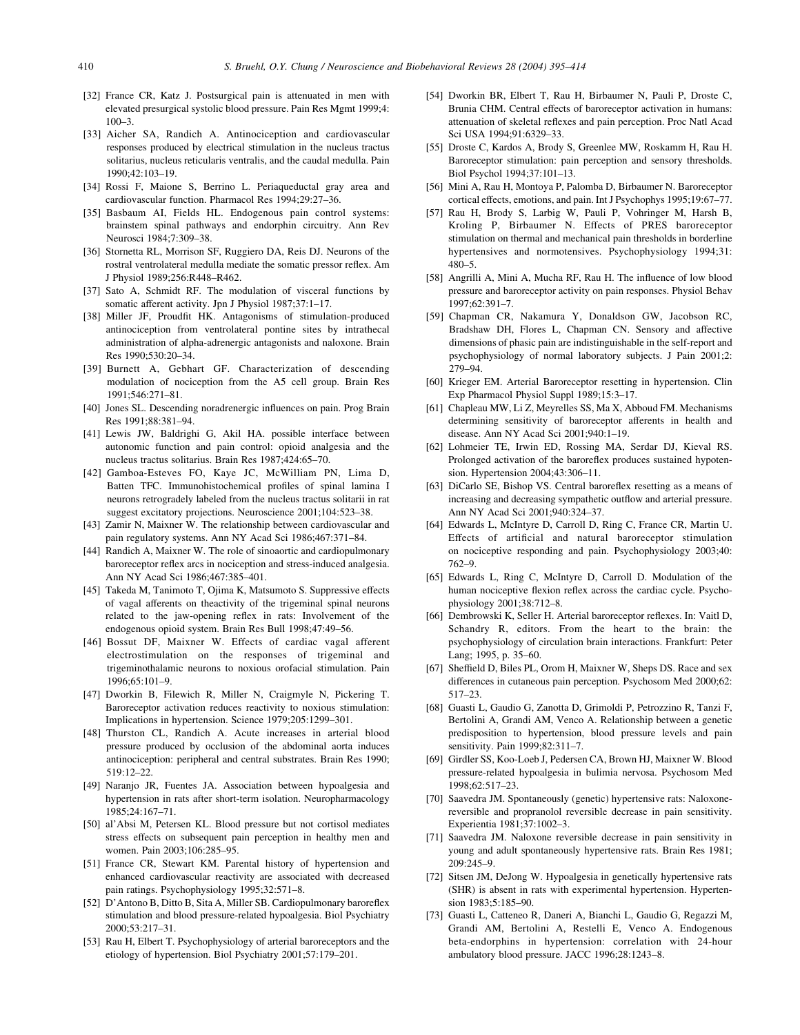- [32] France CR, Katz J. Postsurgical pain is attenuated in men with elevated presurgical systolic blood pressure. Pain Res Mgmt 1999;4: 100–3.
- [33] Aicher SA, Randich A. Antinociception and cardiovascular responses produced by electrical stimulation in the nucleus tractus solitarius, nucleus reticularis ventralis, and the caudal medulla. Pain 1990;42:103–19.
- [34] Rossi F, Maione S, Berrino L. Periaqueductal gray area and cardiovascular function. Pharmacol Res 1994;29:27–36.
- [35] Basbaum AI, Fields HL. Endogenous pain control systems: brainstem spinal pathways and endorphin circuitry. Ann Rev Neurosci 1984;7:309–38.
- [36] Stornetta RL, Morrison SF, Ruggiero DA, Reis DJ. Neurons of the rostral ventrolateral medulla mediate the somatic pressor reflex. Am J Physiol 1989;256:R448–R462.
- [37] Sato A, Schmidt RF. The modulation of visceral functions by somatic afferent activity. Jpn J Physiol 1987;37:1–17.
- [38] Miller JF, Proudfit HK. Antagonisms of stimulation-produced antinociception from ventrolateral pontine sites by intrathecal administration of alpha-adrenergic antagonists and naloxone. Brain Res 1990;530:20–34.
- [39] Burnett A, Gebhart GF. Characterization of descending modulation of nociception from the A5 cell group. Brain Res 1991;546:271–81.
- [40] Jones SL. Descending noradrenergic influences on pain. Prog Brain Res 1991;88:381–94.
- [41] Lewis JW, Baldrighi G, Akil HA. possible interface between autonomic function and pain control: opioid analgesia and the nucleus tractus solitarius. Brain Res 1987;424:65–70.
- [42] Gamboa-Esteves FO, Kaye JC, McWilliam PN, Lima D, Batten TFC. Immunohistochemical profiles of spinal lamina I neurons retrogradely labeled from the nucleus tractus solitarii in rat suggest excitatory projections. Neuroscience 2001;104:523–38.
- [43] Zamir N, Maixner W. The relationship between cardiovascular and pain regulatory systems. Ann NY Acad Sci 1986;467:371–84.
- [44] Randich A, Maixner W. The role of sinoaortic and cardiopulmonary baroreceptor reflex arcs in nociception and stress-induced analgesia. Ann NY Acad Sci 1986;467:385–401.
- [45] Takeda M, Tanimoto T, Ojima K, Matsumoto S. Suppressive effects of vagal afferents on theactivity of the trigeminal spinal neurons related to the jaw-opening reflex in rats: Involvement of the endogenous opioid system. Brain Res Bull 1998;47:49–56.
- [46] Bossut DF, Maixner W. Effects of cardiac vagal afferent electrostimulation on the responses of trigeminal and trigeminothalamic neurons to noxious orofacial stimulation. Pain 1996;65:101–9.
- [47] Dworkin B, Filewich R, Miller N, Craigmyle N, Pickering T. Baroreceptor activation reduces reactivity to noxious stimulation: Implications in hypertension. Science 1979;205:1299–301.
- [48] Thurston CL, Randich A. Acute increases in arterial blood pressure produced by occlusion of the abdominal aorta induces antinociception: peripheral and central substrates. Brain Res 1990; 519:12–22.
- [49] Naranjo JR, Fuentes JA. Association between hypoalgesia and hypertension in rats after short-term isolation. Neuropharmacology 1985;24:167–71.
- [50] al'Absi M, Petersen KL. Blood pressure but not cortisol mediates stress effects on subsequent pain perception in healthy men and women. Pain 2003;106:285–95.
- [51] France CR, Stewart KM. Parental history of hypertension and enhanced cardiovascular reactivity are associated with decreased pain ratings. Psychophysiology 1995;32:571–8.
- [52] D'Antono B, Ditto B, Sita A, Miller SB. Cardiopulmonary baroreflex stimulation and blood pressure-related hypoalgesia. Biol Psychiatry 2000;53:217–31.
- [53] Rau H, Elbert T. Psychophysiology of arterial baroreceptors and the etiology of hypertension. Biol Psychiatry 2001;57:179–201.
- [54] Dworkin BR, Elbert T, Rau H, Birbaumer N, Pauli P, Droste C, Brunia CHM. Central effects of baroreceptor activation in humans: attenuation of skeletal reflexes and pain perception. Proc Natl Acad Sci USA 1994;91:6329–33.
- [55] Droste C, Kardos A, Brody S, Greenlee MW, Roskamm H, Rau H. Baroreceptor stimulation: pain perception and sensory thresholds. Biol Psychol 1994;37:101–13.
- [56] Mini A, Rau H, Montoya P, Palomba D, Birbaumer N. Baroreceptor cortical effects, emotions, and pain. Int J Psychophys 1995;19:67–77.
- [57] Rau H, Brody S, Larbig W, Pauli P, Vohringer M, Harsh B, Kroling P, Birbaumer N. Effects of PRES baroreceptor stimulation on thermal and mechanical pain thresholds in borderline hypertensives and normotensives. Psychophysiology 1994;31: 480–5.
- [58] Angrilli A, Mini A, Mucha RF, Rau H. The influence of low blood pressure and baroreceptor activity on pain responses. Physiol Behav 1997;62:391–7.
- [59] Chapman CR, Nakamura Y, Donaldson GW, Jacobson RC, Bradshaw DH, Flores L, Chapman CN. Sensory and affective dimensions of phasic pain are indistinguishable in the self-report and psychophysiology of normal laboratory subjects. J Pain 2001;2: 279–94.
- [60] Krieger EM. Arterial Baroreceptor resetting in hypertension. Clin Exp Pharmacol Physiol Suppl 1989;15:3–17.
- [61] Chapleau MW, Li Z, Meyrelles SS, Ma X, Abboud FM. Mechanisms determining sensitivity of baroreceptor afferents in health and disease. Ann NY Acad Sci 2001;940:1–19.
- [62] Lohmeier TE, Irwin ED, Rossing MA, Serdar DJ, Kieval RS. Prolonged activation of the baroreflex produces sustained hypotension. Hypertension 2004;43:306–11.
- [63] DiCarlo SE, Bishop VS. Central baroreflex resetting as a means of increasing and decreasing sympathetic outflow and arterial pressure. Ann NY Acad Sci 2001;940:324–37.
- [64] Edwards L, McIntyre D, Carroll D, Ring C, France CR, Martin U. Effects of artificial and natural baroreceptor stimulation on nociceptive responding and pain. Psychophysiology 2003;40: 762–9.
- [65] Edwards L, Ring C, McIntyre D, Carroll D. Modulation of the human nociceptive flexion reflex across the cardiac cycle. Psychophysiology 2001;38:712–8.
- [66] Dembrowski K, Seller H. Arterial baroreceptor reflexes. In: Vaitl D, Schandry R, editors. From the heart to the brain: the psychophysiology of circulation brain interactions. Frankfurt: Peter Lang; 1995, p. 35–60.
- [67] Sheffield D, Biles PL, Orom H, Maixner W, Sheps DS. Race and sex differences in cutaneous pain perception. Psychosom Med 2000;62: 517–23.
- [68] Guasti L, Gaudio G, Zanotta D, Grimoldi P, Petrozzino R, Tanzi F, Bertolini A, Grandi AM, Venco A. Relationship between a genetic predisposition to hypertension, blood pressure levels and pain sensitivity. Pain 1999;82:311–7.
- [69] Girdler SS, Koo-Loeb J, Pedersen CA, Brown HJ, Maixner W. Blood pressure-related hypoalgesia in bulimia nervosa. Psychosom Med 1998;62:517–23.
- [70] Saavedra JM. Spontaneously (genetic) hypertensive rats: Naloxonereversible and propranolol reversible decrease in pain sensitivity. Experientia 1981;37:1002–3.
- [71] Saavedra JM. Naloxone reversible decrease in pain sensitivity in young and adult spontaneously hypertensive rats. Brain Res 1981; 209:245–9.
- [72] Sitsen JM, DeJong W. Hypoalgesia in genetically hypertensive rats (SHR) is absent in rats with experimental hypertension. Hypertension 1983;5:185–90.
- [73] Guasti L, Catteneo R, Daneri A, Bianchi L, Gaudio G, Regazzi M, Grandi AM, Bertolini A, Restelli E, Venco A. Endogenous beta-endorphins in hypertension: correlation with 24-hour ambulatory blood pressure. JACC 1996;28:1243–8.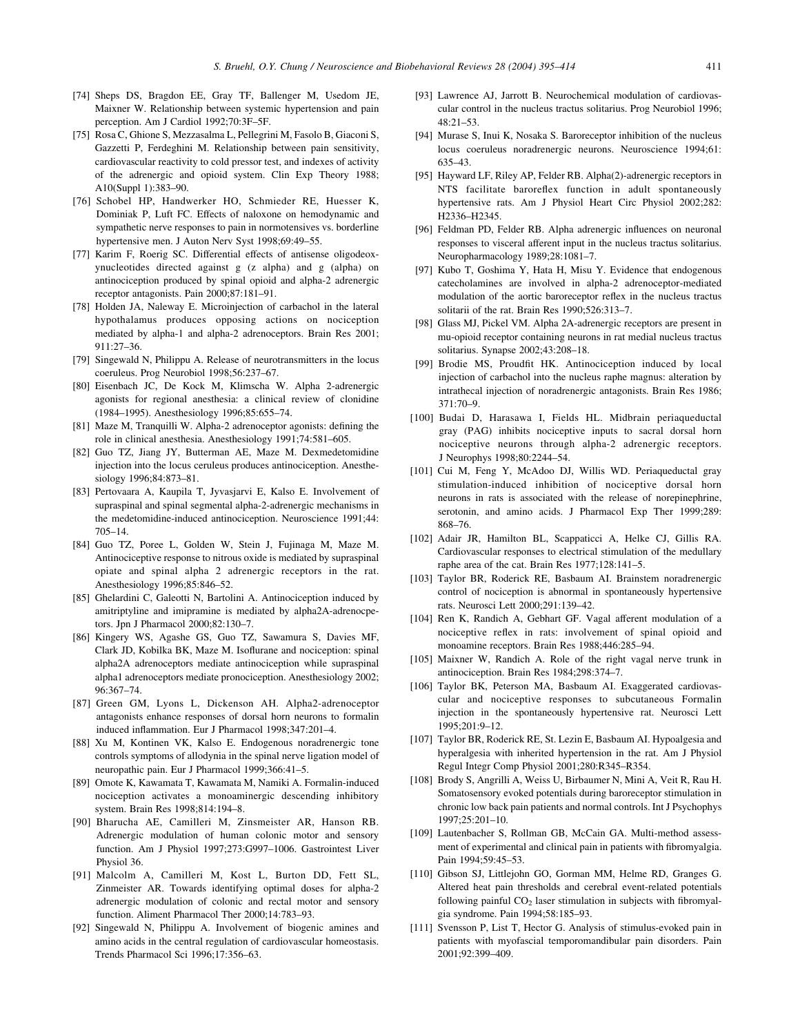- [74] Sheps DS, Bragdon EE, Gray TF, Ballenger M, Usedom JE, Maixner W. Relationship between systemic hypertension and pain perception. Am J Cardiol 1992;70:3F–5F.
- [75] Rosa C, Ghione S, Mezzasalma L, Pellegrini M, Fasolo B, Giaconi S, Gazzetti P, Ferdeghini M. Relationship between pain sensitivity, cardiovascular reactivity to cold pressor test, and indexes of activity of the adrenergic and opioid system. Clin Exp Theory 1988; A10(Suppl 1):383–90.
- [76] Schobel HP, Handwerker HO, Schmieder RE, Huesser K, Dominiak P, Luft FC. Effects of naloxone on hemodynamic and sympathetic nerve responses to pain in normotensives vs. borderline hypertensive men. J Auton Nerv Syst 1998;69:49–55.
- [77] Karim F, Roerig SC. Differential effects of antisense oligodeoxynucleotides directed against g (z alpha) and g (alpha) on antinociception produced by spinal opioid and alpha-2 adrenergic receptor antagonists. Pain 2000;87:181–91.
- [78] Holden JA, Naleway E. Microinjection of carbachol in the lateral hypothalamus produces opposing actions on nociception mediated by alpha-1 and alpha-2 adrenoceptors. Brain Res 2001; 911:27–36.
- [79] Singewald N, Philippu A. Release of neurotransmitters in the locus coeruleus. Prog Neurobiol 1998;56:237–67.
- [80] Eisenbach JC, De Kock M, Klimscha W. Alpha 2-adrenergic agonists for regional anesthesia: a clinical review of clonidine (1984–1995). Anesthesiology 1996;85:655–74.
- [81] Maze M, Tranquilli W. Alpha-2 adrenoceptor agonists: defining the role in clinical anesthesia. Anesthesiology 1991;74:581–605.
- [82] Guo TZ, Jiang JY, Butterman AE, Maze M. Dexmedetomidine injection into the locus ceruleus produces antinociception. Anesthesiology 1996;84:873–81.
- [83] Pertovaara A, Kaupila T, Jyvasjarvi E, Kalso E. Involvement of supraspinal and spinal segmental alpha-2-adrenergic mechanisms in the medetomidine-induced antinociception. Neuroscience 1991;44: 705–14.
- [84] Guo TZ, Poree L, Golden W, Stein J, Fujinaga M, Maze M. Antinociceptive response to nitrous oxide is mediated by supraspinal opiate and spinal alpha 2 adrenergic receptors in the rat. Anesthesiology 1996;85:846–52.
- [85] Ghelardini C, Galeotti N, Bartolini A. Antinociception induced by amitriptyline and imipramine is mediated by alpha2A-adrenocpetors. Jpn J Pharmacol 2000;82:130–7.
- [86] Kingery WS, Agashe GS, Guo TZ, Sawamura S, Davies MF, Clark JD, Kobilka BK, Maze M. Isoflurane and nociception: spinal alpha2A adrenoceptors mediate antinociception while supraspinal alpha1 adrenoceptors mediate pronociception. Anesthesiology 2002; 96:367–74.
- [87] Green GM, Lyons L, Dickenson AH. Alpha2-adrenoceptor antagonists enhance responses of dorsal horn neurons to formalin induced inflammation. Eur J Pharmacol 1998;347:201–4.
- [88] Xu M, Kontinen VK, Kalso E. Endogenous noradrenergic tone controls symptoms of allodynia in the spinal nerve ligation model of neuropathic pain. Eur J Pharmacol 1999;366:41–5.
- [89] Omote K, Kawamata T, Kawamata M, Namiki A. Formalin-induced nociception activates a monoaminergic descending inhibitory system. Brain Res 1998;814:194–8.
- [90] Bharucha AE, Camilleri M, Zinsmeister AR, Hanson RB. Adrenergic modulation of human colonic motor and sensory function. Am J Physiol 1997;273:G997–1006. Gastrointest Liver Physiol 36.
- [91] Malcolm A, Camilleri M, Kost L, Burton DD, Fett SL, Zinmeister AR. Towards identifying optimal doses for alpha-2 adrenergic modulation of colonic and rectal motor and sensory function. Aliment Pharmacol Ther 2000;14:783–93.
- [92] Singewald N, Philippu A. Involvement of biogenic amines and amino acids in the central regulation of cardiovascular homeostasis. Trends Pharmacol Sci 1996;17:356–63.
- [93] Lawrence AJ, Jarrott B. Neurochemical modulation of cardiovascular control in the nucleus tractus solitarius. Prog Neurobiol 1996;  $48.21 - 53$
- [94] Murase S, Inui K, Nosaka S. Baroreceptor inhibition of the nucleus locus coeruleus noradrenergic neurons. Neuroscience 1994;61: 635–43.
- [95] Hayward LF, Riley AP, Felder RB. Alpha(2)-adrenergic receptors in NTS facilitate baroreflex function in adult spontaneously hypertensive rats. Am J Physiol Heart Circ Physiol 2002;282: H2336–H2345.
- [96] Feldman PD, Felder RB. Alpha adrenergic influences on neuronal responses to visceral afferent input in the nucleus tractus solitarius. Neuropharmacology 1989;28:1081–7.
- [97] Kubo T, Goshima Y, Hata H, Misu Y. Evidence that endogenous catecholamines are involved in alpha-2 adrenoceptor-mediated modulation of the aortic baroreceptor reflex in the nucleus tractus solitarii of the rat. Brain Res 1990;526:313–7.
- [98] Glass MJ, Pickel VM. Alpha 2A-adrenergic receptors are present in mu-opioid receptor containing neurons in rat medial nucleus tractus solitarius. Synapse 2002;43:208–18.
- [99] Brodie MS, Proudfit HK. Antinociception induced by local injection of carbachol into the nucleus raphe magnus: alteration by intrathecal injection of noradrenergic antagonists. Brain Res 1986;  $371:70-9$ .
- [100] Budai D, Harasawa I, Fields HL. Midbrain periaqueductal gray (PAG) inhibits nociceptive inputs to sacral dorsal horn nociceptive neurons through alpha-2 adrenergic receptors. J Neurophys 1998;80:2244–54.
- [101] Cui M, Feng Y, McAdoo DJ, Willis WD. Periaqueductal gray stimulation-induced inhibition of nociceptive dorsal horn neurons in rats is associated with the release of norepinephrine, serotonin, and amino acids. J Pharmacol Exp Ther 1999;289: 868–76.
- [102] Adair JR, Hamilton BL, Scappaticci A, Helke CJ, Gillis RA. Cardiovascular responses to electrical stimulation of the medullary raphe area of the cat. Brain Res 1977;128:141–5.
- [103] Taylor BR, Roderick RE, Basbaum AI. Brainstem noradrenergic control of nociception is abnormal in spontaneously hypertensive rats. Neurosci Lett 2000;291:139–42.
- [104] Ren K, Randich A, Gebhart GF. Vagal afferent modulation of a nociceptive reflex in rats: involvement of spinal opioid and monoamine receptors. Brain Res 1988;446:285–94.
- [105] Maixner W, Randich A. Role of the right vagal nerve trunk in antinociception. Brain Res 1984;298:374–7.
- [106] Taylor BK, Peterson MA, Basbaum AI. Exaggerated cardiovascular and nociceptive responses to subcutaneous Formalin injection in the spontaneously hypertensive rat. Neurosci Lett 1995;201:9–12.
- [107] Taylor BR, Roderick RE, St. Lezin E, Basbaum AI. Hypoalgesia and hyperalgesia with inherited hypertension in the rat. Am J Physiol Regul Integr Comp Physiol 2001;280:R345–R354.
- [108] Brody S, Angrilli A, Weiss U, Birbaumer N, Mini A, Veit R, Rau H. Somatosensory evoked potentials during baroreceptor stimulation in chronic low back pain patients and normal controls. Int J Psychophys 1997;25:201–10.
- [109] Lautenbacher S, Rollman GB, McCain GA. Multi-method assessment of experimental and clinical pain in patients with fibromyalgia. Pain 1994;59:45–53.
- [110] Gibson SJ, Littlejohn GO, Gorman MM, Helme RD, Granges G. Altered heat pain thresholds and cerebral event-related potentials following painful  $CO<sub>2</sub>$  laser stimulation in subjects with fibromyalgia syndrome. Pain 1994;58:185–93.
- [111] Svensson P, List T, Hector G. Analysis of stimulus-evoked pain in patients with myofascial temporomandibular pain disorders. Pain 2001;92:399–409.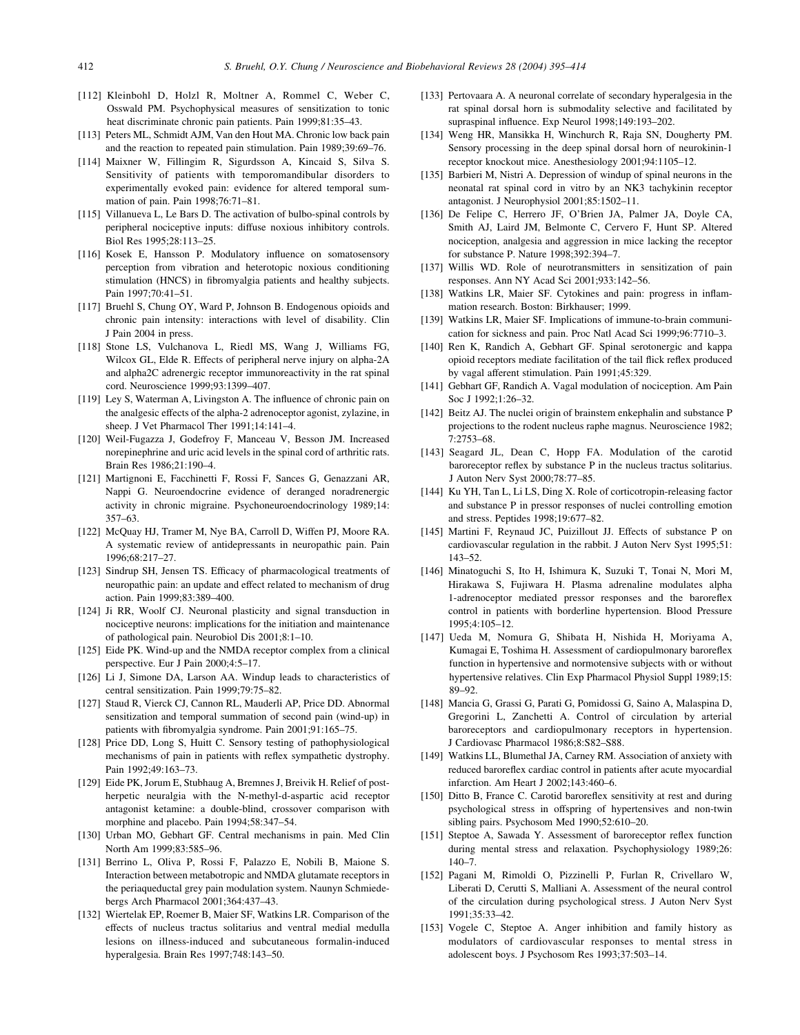- [112] Kleinbohl D, Holzl R, Moltner A, Rommel C, Weber C, Osswald PM. Psychophysical measures of sensitization to tonic heat discriminate chronic pain patients. Pain 1999;81:35–43.
- [113] Peters ML, Schmidt AJM, Van den Hout MA. Chronic low back pain and the reaction to repeated pain stimulation. Pain 1989;39:69–76.
- [114] Maixner W, Fillingim R, Sigurdsson A, Kincaid S, Silva S. Sensitivity of patients with temporomandibular disorders to experimentally evoked pain: evidence for altered temporal summation of pain. Pain 1998;76:71–81.
- [115] Villanueva L, Le Bars D. The activation of bulbo-spinal controls by peripheral nociceptive inputs: diffuse noxious inhibitory controls. Biol Res 1995;28:113–25.
- [116] Kosek E, Hansson P. Modulatory influence on somatosensory perception from vibration and heterotopic noxious conditioning stimulation (HNCS) in fibromyalgia patients and healthy subjects. Pain 1997;70:41–51.
- [117] Bruehl S, Chung OY, Ward P, Johnson B. Endogenous opioids and chronic pain intensity: interactions with level of disability. Clin J Pain 2004 in press.
- [118] Stone LS, Vulchanova L, Riedl MS, Wang J, Williams FG, Wilcox GL, Elde R. Effects of peripheral nerve injury on alpha-2A and alpha2C adrenergic receptor immunoreactivity in the rat spinal cord. Neuroscience 1999;93:1399–407.
- [119] Ley S, Waterman A, Livingston A. The influence of chronic pain on the analgesic effects of the alpha-2 adrenoceptor agonist, zylazine, in sheep. J Vet Pharmacol Ther 1991;14:141–4.
- [120] Weil-Fugazza J, Godefroy F, Manceau V, Besson JM. Increased norepinephrine and uric acid levels in the spinal cord of arthritic rats. Brain Res 1986;21:190–4.
- [121] Martignoni E, Facchinetti F, Rossi F, Sances G, Genazzani AR, Nappi G. Neuroendocrine evidence of deranged noradrenergic activity in chronic migraine. Psychoneuroendocrinology 1989;14: 357–63.
- [122] McQuay HJ, Tramer M, Nye BA, Carroll D, Wiffen PJ, Moore RA. A systematic review of antidepressants in neuropathic pain. Pain 1996;68:217–27.
- [123] Sindrup SH, Jensen TS. Efficacy of pharmacological treatments of neuropathic pain: an update and effect related to mechanism of drug action. Pain 1999;83:389–400.
- [124] Ji RR, Woolf CJ. Neuronal plasticity and signal transduction in nociceptive neurons: implications for the initiation and maintenance of pathological pain. Neurobiol Dis 2001;8:1–10.
- [125] Eide PK. Wind-up and the NMDA receptor complex from a clinical perspective. Eur J Pain 2000;4:5–17.
- [126] Li J, Simone DA, Larson AA. Windup leads to characteristics of central sensitization. Pain 1999;79:75–82.
- [127] Staud R, Vierck CJ, Cannon RL, Mauderli AP, Price DD. Abnormal sensitization and temporal summation of second pain (wind-up) in patients with fibromyalgia syndrome. Pain 2001;91:165–75.
- [128] Price DD, Long S, Huitt C. Sensory testing of pathophysiological mechanisms of pain in patients with reflex sympathetic dystrophy. Pain 1992;49:163–73.
- [129] Eide PK, Jorum E, Stubhaug A, Bremnes J, Breivik H. Relief of postherpetic neuralgia with the N-methyl-d-aspartic acid receptor antagonist ketamine: a double-blind, crossover comparison with morphine and placebo. Pain 1994;58:347–54.
- [130] Urban MO, Gebhart GF. Central mechanisms in pain. Med Clin North Am 1999;83:585–96.
- [131] Berrino L, Oliva P, Rossi F, Palazzo E, Nobili B, Maione S. Interaction between metabotropic and NMDA glutamate receptors in the periaqueductal grey pain modulation system. Naunyn Schmiedebergs Arch Pharmacol 2001;364:437–43.
- [132] Wiertelak EP, Roemer B, Maier SF, Watkins LR. Comparison of the effects of nucleus tractus solitarius and ventral medial medulla lesions on illness-induced and subcutaneous formalin-induced hyperalgesia. Brain Res 1997;748:143–50.
- [133] Pertovaara A. A neuronal correlate of secondary hyperalgesia in the rat spinal dorsal horn is submodality selective and facilitated by supraspinal influence. Exp Neurol 1998;149:193–202.
- [134] Weng HR, Mansikka H, Winchurch R, Raja SN, Dougherty PM. Sensory processing in the deep spinal dorsal horn of neurokinin-1 receptor knockout mice. Anesthesiology 2001;94:1105–12.
- [135] Barbieri M, Nistri A. Depression of windup of spinal neurons in the neonatal rat spinal cord in vitro by an NK3 tachykinin receptor antagonist. J Neurophysiol 2001;85:1502–11.
- [136] De Felipe C, Herrero JF, O'Brien JA, Palmer JA, Doyle CA, Smith AJ, Laird JM, Belmonte C, Cervero F, Hunt SP. Altered nociception, analgesia and aggression in mice lacking the receptor for substance P. Nature 1998;392:394–7.
- [137] Willis WD. Role of neurotransmitters in sensitization of pain responses. Ann NY Acad Sci 2001;933:142–56.
- [138] Watkins LR, Maier SF. Cytokines and pain: progress in inflammation research. Boston: Birkhauser; 1999.
- [139] Watkins LR, Maier SF. Implications of immune-to-brain communication for sickness and pain. Proc Natl Acad Sci 1999;96:7710–3.
- [140] Ren K, Randich A, Gebhart GF. Spinal serotonergic and kappa opioid receptors mediate facilitation of the tail flick reflex produced by vagal afferent stimulation. Pain 1991;45:329.
- [141] Gebhart GF, Randich A. Vagal modulation of nociception. Am Pain Soc J 1992;1:26–32.
- [142] Beitz AJ. The nuclei origin of brainstem enkephalin and substance P projections to the rodent nucleus raphe magnus. Neuroscience 1982; 7:2753–68.
- [143] Seagard JL, Dean C, Hopp FA. Modulation of the carotid baroreceptor reflex by substance P in the nucleus tractus solitarius. J Auton Nerv Syst 2000;78:77–85.
- [144] Ku YH, Tan L, Li LS, Ding X. Role of corticotropin-releasing factor and substance P in pressor responses of nuclei controlling emotion and stress. Peptides 1998;19:677–82.
- [145] Martini F, Reynaud JC, Puizillout JJ. Effects of substance P on cardiovascular regulation in the rabbit. J Auton Nerv Syst 1995;51: 143–52.
- [146] Minatoguchi S, Ito H, Ishimura K, Suzuki T, Tonai N, Mori M, Hirakawa S, Fujiwara H. Plasma adrenaline modulates alpha 1-adrenoceptor mediated pressor responses and the baroreflex control in patients with borderline hypertension. Blood Pressure 1995;4:105–12.
- [147] Ueda M, Nomura G, Shibata H, Nishida H, Moriyama A, Kumagai E, Toshima H. Assessment of cardiopulmonary baroreflex function in hypertensive and normotensive subjects with or without hypertensive relatives. Clin Exp Pharmacol Physiol Suppl 1989;15: 89–92.
- [148] Mancia G, Grassi G, Parati G, Pomidossi G, Saino A, Malaspina D, Gregorini L, Zanchetti A. Control of circulation by arterial baroreceptors and cardiopulmonary receptors in hypertension. J Cardiovasc Pharmacol 1986;8:S82–S88.
- [149] Watkins LL, Blumethal JA, Carney RM. Association of anxiety with reduced baroreflex cardiac control in patients after acute myocardial infarction. Am Heart J 2002;143:460–6.
- [150] Ditto B, France C. Carotid baroreflex sensitivity at rest and during psychological stress in offspring of hypertensives and non-twin sibling pairs. Psychosom Med 1990;52:610–20.
- [151] Steptoe A, Sawada Y. Assessment of baroreceptor reflex function during mental stress and relaxation. Psychophysiology 1989;26: 140–7.
- [152] Pagani M, Rimoldi O, Pizzinelli P, Furlan R, Crivellaro W, Liberati D, Cerutti S, Malliani A. Assessment of the neural control of the circulation during psychological stress. J Auton Nerv Syst 1991;35:33–42.
- [153] Vogele C, Steptoe A. Anger inhibition and family history as modulators of cardiovascular responses to mental stress in adolescent boys. J Psychosom Res 1993;37:503–14.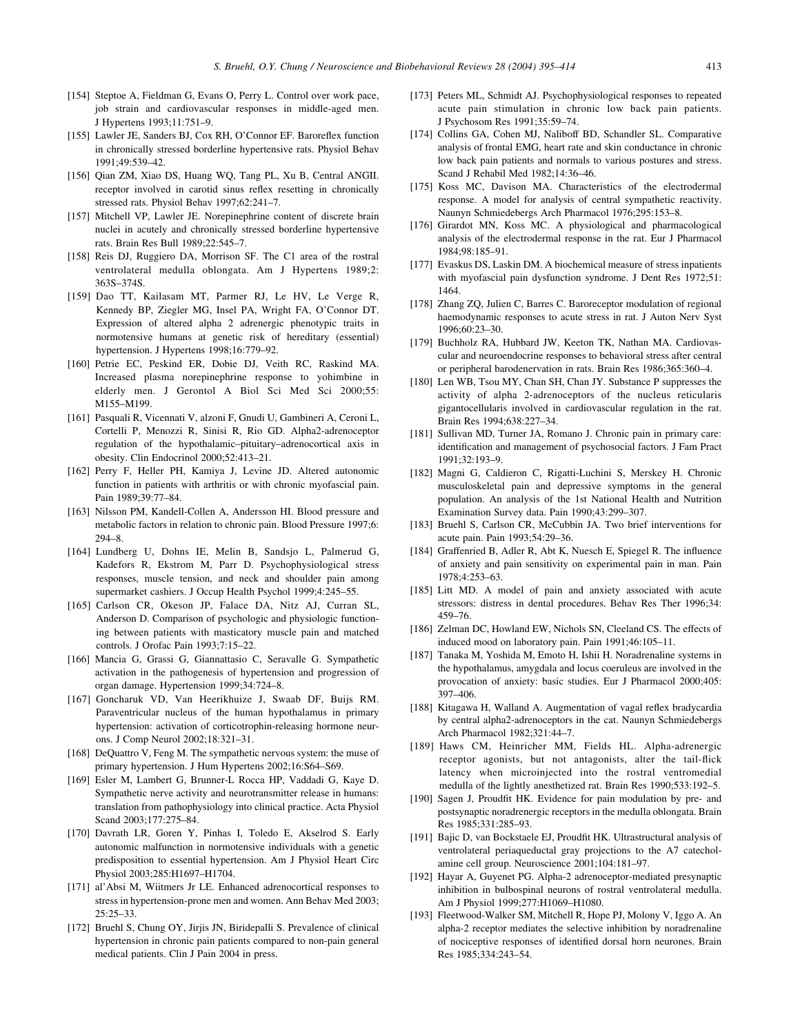- [154] Steptoe A, Fieldman G, Evans O, Perry L. Control over work pace, job strain and cardiovascular responses in middle-aged men. J Hypertens 1993;11:751–9.
- [155] Lawler JE, Sanders BJ, Cox RH, O'Connor EF. Baroreflex function in chronically stressed borderline hypertensive rats. Physiol Behav 1991;49:539–42.
- [156] Qian ZM, Xiao DS, Huang WQ, Tang PL, Xu B, Central ANGII. receptor involved in carotid sinus reflex resetting in chronically stressed rats. Physiol Behav 1997;62:241–7.
- [157] Mitchell VP, Lawler JE. Norepinephrine content of discrete brain nuclei in acutely and chronically stressed borderline hypertensive rats. Brain Res Bull 1989;22:545–7.
- [158] Reis DJ, Ruggiero DA, Morrison SF. The C1 area of the rostral ventrolateral medulla oblongata. Am J Hypertens 1989;2: 363S–374S.
- [159] Dao TT, Kailasam MT, Parmer RJ, Le HV, Le Verge R, Kennedy BP, Ziegler MG, Insel PA, Wright FA, O'Connor DT. Expression of altered alpha 2 adrenergic phenotypic traits in normotensive humans at genetic risk of hereditary (essential) hypertension. J Hypertens 1998;16:779–92.
- [160] Petrie EC, Peskind ER, Dobie DJ, Veith RC, Raskind MA. Increased plasma norepinephrine response to yohimbine in elderly men. J Gerontol A Biol Sci Med Sci 2000;55: M155–M199.
- [161] Pasquali R, Vicennati V, alzoni F, Gnudi U, Gambineri A, Ceroni L, Cortelli P, Menozzi R, Sinisi R, Rio GD. Alpha2-adrenoceptor regulation of the hypothalamic–pituitary–adrenocortical axis in obesity. Clin Endocrinol 2000;52:413–21.
- [162] Perry F, Heller PH, Kamiya J, Levine JD. Altered autonomic function in patients with arthritis or with chronic myofascial pain. Pain 1989;39:77–84.
- [163] Nilsson PM, Kandell-Collen A, Andersson HI. Blood pressure and metabolic factors in relation to chronic pain. Blood Pressure 1997;6: 294–8.
- [164] Lundberg U, Dohns IE, Melin B, Sandsjo L, Palmerud G, Kadefors R, Ekstrom M, Parr D. Psychophysiological stress responses, muscle tension, and neck and shoulder pain among supermarket cashiers. J Occup Health Psychol 1999;4:245–55.
- [165] Carlson CR, Okeson JP, Falace DA, Nitz AJ, Curran SL, Anderson D. Comparison of psychologic and physiologic functioning between patients with masticatory muscle pain and matched controls. J Orofac Pain 1993;7:15–22.
- [166] Mancia G, Grassi G, Giannattasio C, Seravalle G. Sympathetic activation in the pathogenesis of hypertension and progression of organ damage. Hypertension 1999;34:724–8.
- [167] Goncharuk VD, Van Heerikhuize J, Swaab DF, Buijs RM. Paraventricular nucleus of the human hypothalamus in primary hypertension: activation of corticotrophin-releasing hormone neurons. J Comp Neurol 2002;18:321–31.
- [168] DeQuattro V, Feng M. The sympathetic nervous system: the muse of primary hypertension. J Hum Hypertens 2002;16:S64–S69.
- [169] Esler M, Lambert G, Brunner-L Rocca HP, Vaddadi G, Kaye D. Sympathetic nerve activity and neurotransmitter release in humans: translation from pathophysiology into clinical practice. Acta Physiol Scand 2003;177:275–84.
- [170] Davrath LR, Goren Y, Pinhas I, Toledo E, Akselrod S. Early autonomic malfunction in normotensive individuals with a genetic predisposition to essential hypertension. Am J Physiol Heart Circ Physiol 2003;285:H1697–H1704.
- [171] al'Absi M, Wiitmers Jr LE. Enhanced adrenocortical responses to stress in hypertension-prone men and women. Ann Behav Med 2003; 25:25–33.
- [172] Bruehl S, Chung OY, Jirjis JN, Biridepalli S. Prevalence of clinical hypertension in chronic pain patients compared to non-pain general medical patients. Clin J Pain 2004 in press.
- [173] Peters ML, Schmidt AJ. Psychophysiological responses to repeated acute pain stimulation in chronic low back pain patients. J Psychosom Res 1991;35:59–74.
- [174] Collins GA, Cohen MJ, Naliboff BD, Schandler SL. Comparative analysis of frontal EMG, heart rate and skin conductance in chronic low back pain patients and normals to various postures and stress. Scand J Rehabil Med 1982;14:36–46.
- [175] Koss MC, Davison MA. Characteristics of the electrodermal response. A model for analysis of central sympathetic reactivity. Naunyn Schmiedebergs Arch Pharmacol 1976;295:153–8.
- [176] Girardot MN, Koss MC. A physiological and pharmacological analysis of the electrodermal response in the rat. Eur J Pharmacol 1984;98:185–91.
- [177] Evaskus DS, Laskin DM. A biochemical measure of stress inpatients with myofascial pain dysfunction syndrome. J Dent Res 1972;51: 1464.
- [178] Zhang ZQ, Julien C, Barres C. Baroreceptor modulation of regional haemodynamic responses to acute stress in rat. J Auton Nerv Syst 1996;60:23–30.
- [179] Buchholz RA, Hubbard JW, Keeton TK, Nathan MA. Cardiovascular and neuroendocrine responses to behavioral stress after central or peripheral barodenervation in rats. Brain Res 1986;365:360–4.
- [180] Len WB, Tsou MY, Chan SH, Chan JY. Substance P suppresses the activity of alpha 2-adrenoceptors of the nucleus reticularis gigantocellularis involved in cardiovascular regulation in the rat. Brain Res 1994;638:227–34.
- [181] Sullivan MD, Turner JA, Romano J. Chronic pain in primary care: identification and management of psychosocial factors. J Fam Pract 1991;32:193–9.
- [182] Magni G, Caldieron C, Rigatti-Luchini S, Merskey H. Chronic musculoskeletal pain and depressive symptoms in the general population. An analysis of the 1st National Health and Nutrition Examination Survey data. Pain 1990;43:299–307.
- [183] Bruehl S, Carlson CR, McCubbin JA. Two brief interventions for acute pain. Pain 1993;54:29–36.
- [184] Graffenried B, Adler R, Abt K, Nuesch E, Spiegel R. The influence of anxiety and pain sensitivity on experimental pain in man. Pain 1978;4:253–63.
- [185] Litt MD. A model of pain and anxiety associated with acute stressors: distress in dental procedures. Behav Res Ther 1996;34: 459–76.
- [186] Zelman DC, Howland EW, Nichols SN, Cleeland CS. The effects of induced mood on laboratory pain. Pain 1991;46:105–11.
- [187] Tanaka M, Yoshida M, Emoto H, Ishii H. Noradrenaline systems in the hypothalamus, amygdala and locus coeruleus are involved in the provocation of anxiety: basic studies. Eur J Pharmacol 2000;405: 397–406.
- [188] Kitagawa H, Walland A. Augmentation of vagal reflex bradycardia by central alpha2-adrenoceptors in the cat. Naunyn Schmiedebergs Arch Pharmacol 1982;321:44–7.
- [189] Haws CM, Heinricher MM, Fields HL. Alpha-adrenergic receptor agonists, but not antagonists, alter the tail-flick latency when microinjected into the rostral ventromedial medulla of the lightly anesthetized rat. Brain Res 1990;533:192–5.
- [190] Sagen J, Proudfit HK. Evidence for pain modulation by pre- and postsynaptic noradrenergic receptors in the medulla oblongata. Brain Res 1985;331:285–93.
- [191] Bajic D, van Bockstaele EJ, Proudfit HK. Ultrastructural analysis of ventrolateral periaqueductal gray projections to the A7 catecholamine cell group. Neuroscience 2001;104:181–97.
- [192] Hayar A, Guyenet PG. Alpha-2 adrenoceptor-mediated presynaptic inhibition in bulbospinal neurons of rostral ventrolateral medulla. Am J Physiol 1999;277:H1069–H1080.
- [193] Fleetwood-Walker SM, Mitchell R, Hope PJ, Molony V, Iggo A. An alpha-2 receptor mediates the selective inhibition by noradrenaline of nociceptive responses of identified dorsal horn neurones. Brain Res 1985;334:243–54.